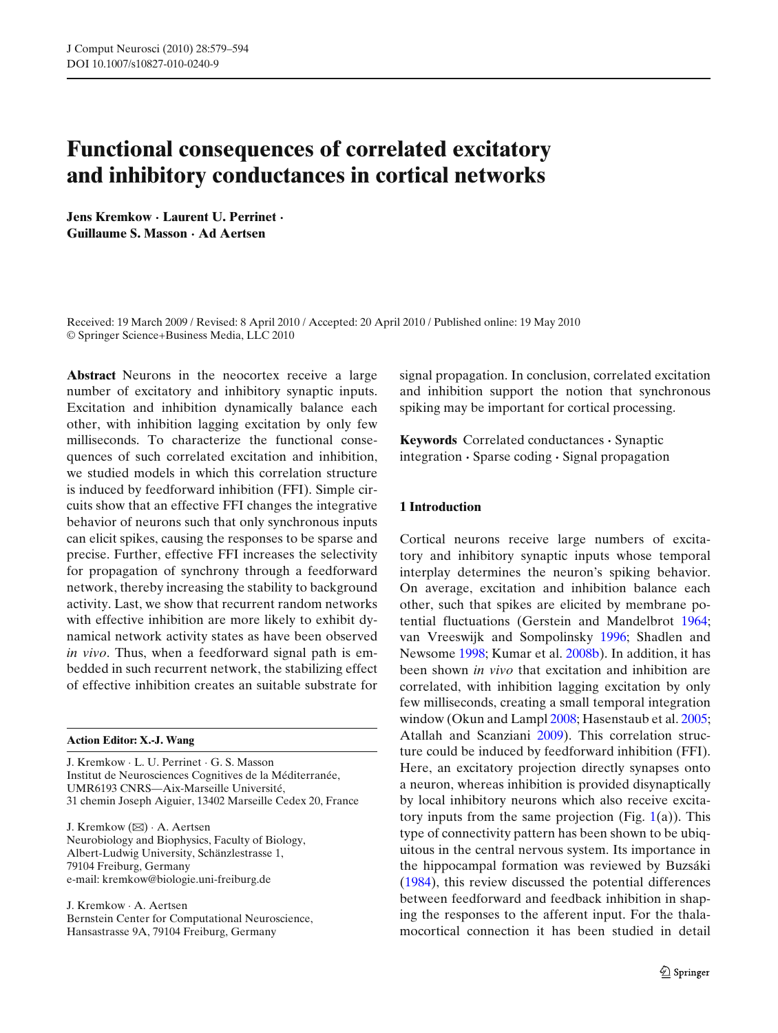# **Functional consequences of correlated excitatory and inhibitory conductances in cortical networks**

**Jens Kremkow** · **Laurent U. Perrinet** · **Guillaume S. Masson** · **Ad Aertsen**

Received: 19 March 2009 / Revised: 8 April 2010 / Accepted: 20 April 2010 / Published online: 19 May 2010 © Springer Science+Business Media, LLC 2010

**Abstract** Neurons in the neocortex receive a large number of excitatory and inhibitory synaptic inputs. Excitation and inhibition dynamically balance each other, with inhibition lagging excitation by only few milliseconds. To characterize the functional consequences of such correlated excitation and inhibition, we studied models in which this correlation structure is induced by feedforward inhibition (FFI). Simple circuits show that an effective FFI changes the integrative behavior of neurons such that only synchronous inputs can elicit spikes, causing the responses to be sparse and precise. Further, effective FFI increases the selectivity for propagation of synchrony through a feedforward network, thereby increasing the stability to background activity. Last, we show that recurrent random networks with effective inhibition are more likely to exhibit dynamical network activity states as have been observed *in vivo*. Thus, when a feedforward signal path is embedded in such recurrent network, the stabilizing effect of effective inhibition creates an suitable substrate for

#### **Action Editor: X.-J. Wang**

J. Kremkow · L. U. Perrinet · G. S. Masson Institut de Neurosciences Cognitives de la Méditerranée, UMR6193 CNRS—Aix-Marseille Université, 31 chemin Joseph Aiguier, 13402 Marseille Cedex 20, France

J. Kremkow  $(\boxtimes) \cdot A$ . Aertsen Neurobiology and Biophysics, Faculty of Biology, Albert-Ludwig University, Schänzlestrasse 1, 79104 Freiburg, Germany e-mail: kremkow@biologie.uni-freiburg.de

J. Kremkow · A. Aertsen Bernstein Center for Computational Neuroscience, Hansastrasse 9A, 79104 Freiburg, Germany

signal propagation. In conclusion, correlated excitation and inhibition support the notion that synchronous spiking may be important for cortical processing.

**Keywords** Correlated conductances · Synaptic integration · Sparse coding · Signal propagation

# **1 Introduction**

Cortical neurons receive large numbers of excitatory and inhibitory synaptic inputs whose temporal interplay determines the neuron's spiking behavior. On average, excitation and inhibition balance each other, such that spikes are elicited by membrane potential fluctuations (Gerstein and Mandelbrot [1964;](#page-13-0) van Vreeswijk and Sompolinsky [1996;](#page-15-0) Shadlen and Newsome [1998;](#page-14-0) Kumar et al. [2008b](#page-14-0)). In addition, it has been shown *in vivo* that excitation and inhibition are correlated, with inhibition lagging excitation by only few milliseconds, creating a small temporal integration window (Okun and Lamp[l](#page-14-0) [2008](#page-14-0); Hasenstaub et al[.](#page-14-0) [2005;](#page-14-0) Atallah and Scanzian[i](#page-13-0) [2009\)](#page-13-0). This correlation structure could be induced by feedforward inhibition (FFI). Here, an excitatory projection directly synapses onto a neuron, whereas inhibition is provided disynaptically by local inhibitory neurons which also receive excitatory inputs from the same projection (Fig.  $1(a)$  $1(a)$ ). This type of connectivity pattern has been shown to be ubiquitous in the central nervous system. Its importance in the hippocampal formation was reviewed by Buzsák[i](#page-13-0) [\(1984](#page-13-0)), this review discussed the potential differences between feedforward and feedback inhibition in shaping the responses to the afferent input. For the thalamocortical connection it has been studied in detail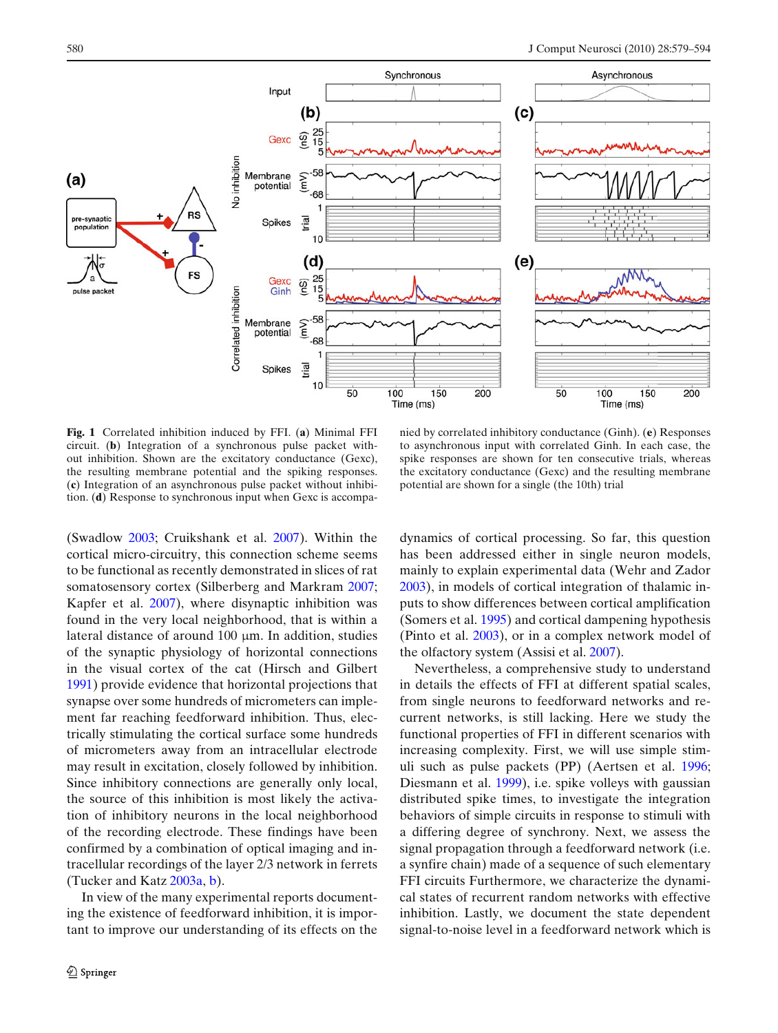

**Fig. 1** Correlated inhibition induced by FFI. (**a**) Minimal FFI circuit. (**b**) Integration of a synchronous pulse packet without inhibition. Shown are the excitatory conductance (Gexc), the resulting membrane potential and the spiking responses. (**c**) Integration of an asynchronous pulse packet without inhibition. (**d**) Response to synchronous input when Gexc is accompa-

nied by correlated inhibitory conductance (Ginh). (**e**) Responses to asynchronous input with correlated Ginh. In each case, the spike responses are shown for ten consecutive trials, whereas the excitatory conductance (Gexc) and the resulting membrane potential are shown for a single (the 10th) trial

(Swadlo[w](#page-15-0) [2003;](#page-15-0) Cruikshank et al[.](#page-13-0) [2007](#page-13-0)). Within the cortical micro-circuitry, this connection scheme seems to be functional as recently demonstrated in slices of rat somatosensory cortex (Silberberg and Markra[m](#page-14-0) [2007;](#page-14-0) Kapfer et al[.](#page-14-0) [2007\)](#page-14-0), where disynaptic inhibition was found in the very local neighborhood, that is within a lateral distance of around  $100 \mu m$ . In addition, studies of the synaptic physiology of horizontal connections in the visual cortex of the cat (Hirsch and Gilber[t](#page-14-0) [1991](#page-14-0)) provide evidence that horizontal projections that synapse over some hundreds of micrometers can implement far reaching feedforward inhibition. Thus, electrically stimulating the cortical surface some hundreds of micrometers away from an intracellular electrode may result in excitation, closely followed by inhibition. Since inhibitory connections are generally only local, the source of this inhibition is most likely the activation of inhibitory neurons in the local neighborhood of the recording electrode. These findings have been confirmed by a combination of optical imaging and intracellular recordings of the layer 2/3 network in ferrets (Tucker and Katz [2003a](#page-15-0), [b\)](#page-15-0).

<span id="page-1-0"></span>In view of the many experimental reports documenting the existence of feedforward inhibition, it is important to improve our understanding of its effects on the

dynamics of cortical processing. So far, this question has been addressed either in single neuron models, mainly to explain experimental data (Wehr and Zado[r](#page-15-0) [2003](#page-15-0)), in models of cortical integration of thalamic inputs to show differences between cortical amplification (Somers et al[.](#page-14-0) [1995](#page-14-0)) and cortical dampening hypothesis (Pinto et al[.](#page-14-0) [2003](#page-14-0)), or in a complex network model of the olfactory system (Assisi et al[.](#page-13-0) [2007](#page-13-0)).

Nevertheless, a comprehensive study to understand in details the effects of FFI at different spatial scales, from single neurons to feedforward networks and recurrent networks, is still lacking. Here we study the functional properties of FFI in different scenarios with increasing complexity. First, we will use simple stimuli such as pulse packets (PP) (Aertsen et al[.](#page-13-0) [1996;](#page-13-0) Diesmann et al[.](#page-13-0) [1999\)](#page-13-0), i.e. spike volleys with gaussian distributed spike times, to investigate the integration behaviors of simple circuits in response to stimuli with a differing degree of synchrony. Next, we assess the signal propagation through a feedforward network (i.e. a synfire chain) made of a sequence of such elementary FFI circuits Furthermore, we characterize the dynamical states of recurrent random networks with effective inhibition. Lastly, we document the state dependent signal-to-noise level in a feedforward network which is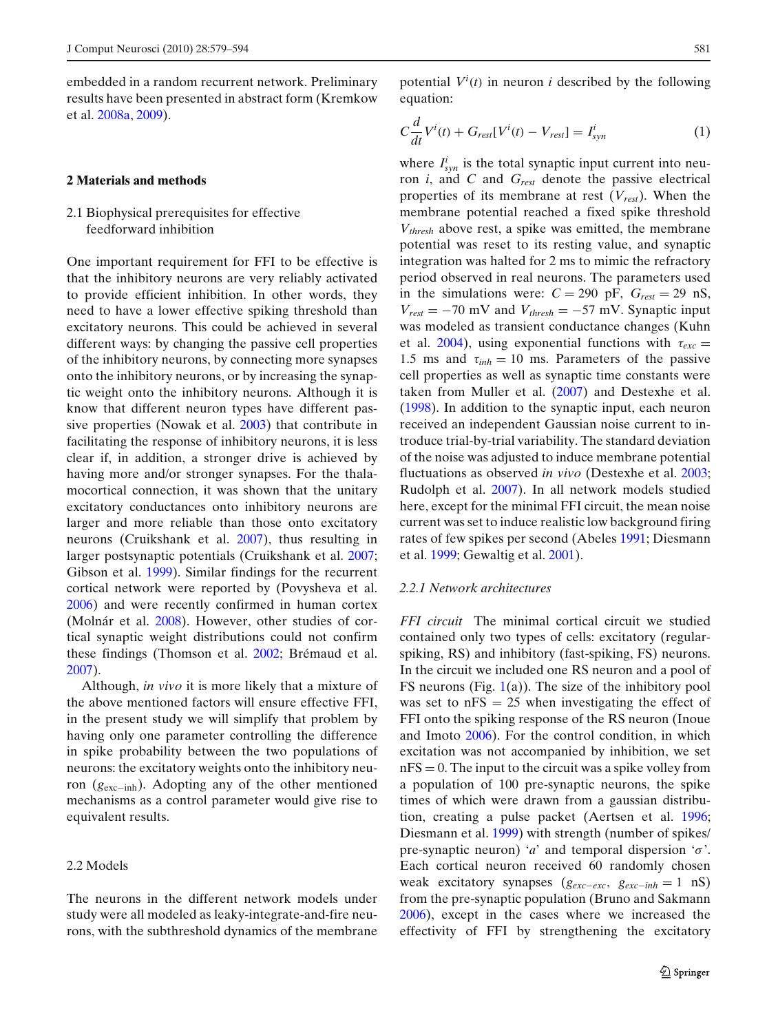embedded in a random recurrent network. Preliminary results have been presented in abstract form (Kremkow et al[.](#page-14-0) [2008a,](#page-14-0) [2009\)](#page-14-0).

## **2 Materials and methods**

2.1 Biophysical prerequisites for effective feedforward inhibition

One important requirement for FFI to be effective is that the inhibitory neurons are very reliably activated to provide efficient inhibition. In other words, they need to have a lower effective spiking threshold than excitatory neurons. This could be achieved in several different ways: by changing the passive cell properties of the inhibitory neurons, by connecting more synapses onto the inhibitory neurons, or by increasing the synaptic weight onto the inhibitory neurons. Although it is know that different neuron types have different passive properties (Nowak et al[.](#page-14-0) [2003\)](#page-14-0) that contribute in facilitating the response of inhibitory neurons, it is less clear if, in addition, a stronger drive is achieved by having more and/or stronger synapses. For the thalamocortical connection, it was shown that the unitary excitatory conductances onto inhibitory neurons are larger and more reliable than those onto excitatory neurons (Cruikshank et al[.](#page-13-0) [2007\)](#page-13-0), thus resulting in larger postsynaptic potentials (Cruikshank et al[.](#page-13-0) [2007;](#page-13-0) Gibson et al[.](#page-13-0) [1999](#page-13-0)). Similar findings for the recurrent cortical network were reported by (Povysheva et al[.](#page-14-0) [2006](#page-14-0)) and were recently confirmed in human cortex (Molnár et al[.](#page-14-0) [2008\)](#page-14-0). However, other studies of cortical synaptic weight distributions could not confirm these findings (Thomson et al[.](#page-15-0) [2002](#page-15-0); Brémaud et al[.](#page-13-0) [2007](#page-13-0)).

Although, *in vivo* it is more likely that a mixture of the above mentioned factors will ensure effective FFI, in the present study we will simplify that problem by having only one parameter controlling the difference in spike probability between the two populations of neurons: the excitatory weights onto the inhibitory neuron (*g*exc−inh). Adopting any of the other mentioned mechanisms as a control parameter would give rise to equivalent results.

## 2.2 Models

<span id="page-2-0"></span>The neurons in the different network models under study were all modeled as leaky-integrate-and-fire neurons, with the subthreshold dynamics of the membrane

potential  $V^i(t)$  in neuron *i* described by the following equation:

$$
C\frac{d}{dt}V^i(t) + G_{rest}[V^i(t) - V_{rest}] = I^i_{syn}
$$
\n(1)

where  $I_{syn}^i$  is the total synaptic input current into neuron *i*, and *C* and *Grest* denote the passive electrical properties of its membrane at rest  $(V_{rest})$ . When the membrane potential reached a fixed spike threshold *Vthresh* above rest, a spike was emitted, the membrane potential was reset to its resting value, and synaptic integration was halted for 2 ms to mimic the refractory period observed in real neurons. The parameters used in the simulations were:  $C = 290$  pF,  $G_{rest} = 29$  nS,  $V_{rest} = -70$  mV and  $V_{thresh} = -57$  mV. Synaptic input was modeled as transient conductance changes (Kuhn et al[.](#page-14-0) [2004\)](#page-14-0), using exponential functions with  $\tau_{exc}$ 1.5 ms and  $\tau_{inh} = 10$  ms. Parameters of the passive cell properties as well as synaptic time constants were taken from Muller et al[.](#page-14-0) [\(2007](#page-14-0)) and Destexhe et al[.](#page-13-0) [\(1998](#page-13-0)). In addition to the synaptic input, each neuron received an independent Gaussian noise current to introduce trial-by-trial variability. The standard deviation of the noise was adjusted to induce membrane potential fluctuations as observed *in vivo* (Destexhe et al[.](#page-13-0) [2003;](#page-13-0) Rudolph et al[.](#page-14-0) [2007\)](#page-14-0). In all network models studied here, except for the minimal FFI circuit, the mean noise current was set to induce realistic low background firing rates of few spikes per second (Abele[s](#page-13-0) [1991;](#page-13-0) Diesmann et al[.](#page-13-0) [1999;](#page-13-0) Gewaltig et al[.](#page-13-0) [2001](#page-13-0)).

#### *2.2.1 Network architectures*

*FFI circuit* The minimal cortical circuit we studied contained only two types of cells: excitatory (regularspiking, RS) and inhibitory (fast-spiking, FS) neurons. In the circuit we included one RS neuron and a pool of FS neurons (Fig.  $1(a)$  $1(a)$ ). The size of the inhibitory pool was set to  $nFS = 25$  when investigating the effect of FFI onto the spiking response of the RS neuron (Inoue and Imot[o](#page-14-0) [2006\)](#page-14-0). For the control condition, in which excitation was not accompanied by inhibition, we set  $nFS = 0$ . The input to the circuit was a spike volley from a population of 100 pre-synaptic neurons, the spike times of which were drawn from a gaussian distribution, creating a pulse packet (Aertsen et al. [1996;](#page-13-0) Diesmann et al. [1999\)](#page-13-0) with strength (number of spikes/ pre-synaptic neuron) '*a*' and temporal dispersion ' $\sigma$ '. Each cortical neuron received 60 randomly chosen weak excitatory synapses (*gexc*−*exc*, *gexc*−*inh* = 1 nS) from the pre-synaptic population (Bruno and Sakmann [2006](#page-13-0)), except in the cases where we increased the effectivity of FFI by strengthening the excitatory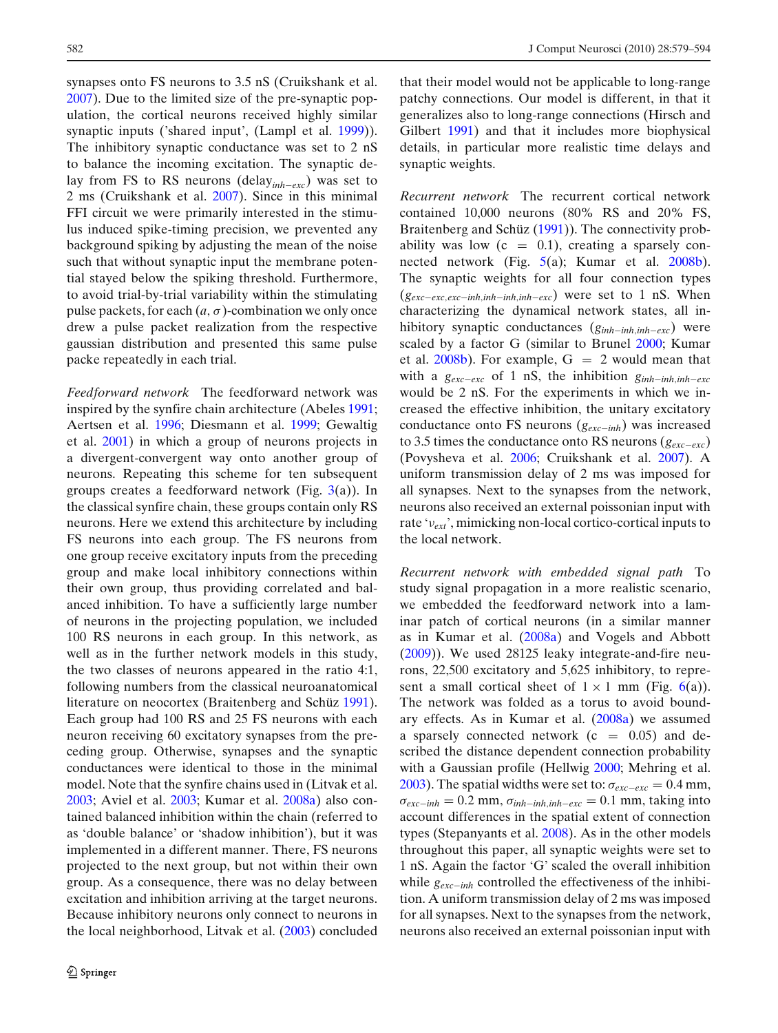synapses onto FS neurons to 3.5 nS (Cruikshank et al[.](#page-13-0) [2007](#page-13-0)). Due to the limited size of the pre-synaptic population, the cortical neurons received highly similar synaptic inputs ('shared input', (Lampl et al[.](#page-14-0) [1999\)](#page-14-0)). The inhibitory synaptic conductance was set to 2 nS to balance the incoming excitation. The synaptic delay from FS to RS neurons (delay*inh*−*exc*) was set to 2 ms (Cruikshank et al[.](#page-13-0) [2007\)](#page-13-0). Since in this minimal FFI circuit we were primarily interested in the stimulus induced spike-timing precision, we prevented any background spiking by adjusting the mean of the noise such that without synaptic input the membrane potential stayed below the spiking threshold. Furthermore, to avoid trial-by-trial variability within the stimulating pulse packets, for each  $(a, \sigma)$ -combination we only once drew a pulse packet realization from the respective gaussian distribution and presented this same pulse packe repeatedly in each trial.

*Feedforward network* The feedforward network was inspired by the synfire chain architecture (Abele[s](#page-13-0) [1991;](#page-13-0) Aertsen et al[.](#page-13-0) [1996;](#page-13-0) Diesmann et al[.](#page-13-0) [1999;](#page-13-0) Gewaltig et al[.](#page-13-0) [2001\)](#page-13-0) in which a group of neurons projects in a divergent-convergent way onto another group of neurons. Repeating this scheme for ten subsequent groups creates a feedforward network (Fig.  $3(a)$  $3(a)$ ). In the classical synfire chain, these groups contain only RS neurons. Here we extend this architecture by including FS neurons into each group. The FS neurons from one group receive excitatory inputs from the preceding group and make local inhibitory connections within their own group, thus providing correlated and balanced inhibition. To have a sufficiently large number of neurons in the projecting population, we included 100 RS neurons in each group. In this network, as well as in the further network models in this study, the two classes of neurons appeared in the ratio 4:1, following numbers from the classical neuroanatomical literature on neocortex (Braitenberg and Schü[z](#page-13-0) [1991\)](#page-13-0). Each group had 100 RS and 25 FS neurons with each neuron receiving 60 excitatory synapses from the preceding group. Otherwise, synapses and the synaptic conductances were identical to those in the minimal model. Note that the synfire chains used in (Litvak et al[.](#page-14-0) [2003](#page-14-0); Aviel et al[.](#page-13-0) [2003;](#page-13-0) Kumar et al[.](#page-14-0) [2008a\)](#page-14-0) also contained balanced inhibition within the chain (referred to as 'double balance' or 'shadow inhibition'), but it was implemented in a different manner. There, FS neurons projected to the next group, but not within their own group. As a consequence, there was no delay between excitation and inhibition arriving at the target neurons. Because inhibitory neurons only connect to neurons in the local neighborhood, Litvak et al[.](#page-14-0) [\(2003\)](#page-14-0) concluded that their model would not be applicable to long-range patchy connections. Our model is different, in that it generalizes also to long-range connections (Hirsch and Gilber[t](#page-14-0) [1991\)](#page-14-0) and that it includes more biophysical details, in particular more realistic time delays and synaptic weights.

*Recurrent network* The recurrent cortical network contained 10,000 neurons (80% RS and 20% FS, Braitenberg and Schü[z](#page-13-0) [\(1991](#page-13-0))). The connectivity probability was low  $(c = 0.1)$ , creating a sparsely connected network (Fig. [5\(](#page-9-0)a); Kumar et al[.](#page-14-0) [2008b\)](#page-14-0). The synaptic weights for all four connection types (*gexc*−*exc*,*exc*−*inh*,*inh*−*inh*,*inh*−*exc*) were set to 1 nS. When characterizing the dynamical network states, all inhibitory synaptic conductances (*ginh*−*inh*,*inh*−*exc*) were scaled by a factor G (similar to Brune[l](#page-13-0) [2000](#page-13-0); Kumar et al[.](#page-14-0) [2008b](#page-14-0)). For example,  $G = 2$  would mean that with a *gexc*−*exc* of 1 nS, the inhibition *ginh*−*inh*,*inh*−*exc* would be 2 nS. For the experiments in which we increased the effective inhibition, the unitary excitatory conductance onto FS neurons (*gexc*−*inh*) was increased to 3.5 times the conductance onto RS neurons (*gexc*−*exc*) (Povysheva et al[.](#page-14-0) [2006;](#page-14-0) Cruikshank et al[.](#page-13-0) [2007](#page-13-0)). A uniform transmission delay of 2 ms was imposed for all synapses. Next to the synapses from the network, neurons also received an external poissonian input with rate 'ν*ext*', mimicking non-local cortico-cortical inputs to the local network.

*Recurrent network with embedded signal path* To study signal propagation in a more realistic scenario, we embedded the feedforward network into a laminar patch of cortical neurons (in a similar manner as in Kumar et al[.](#page-14-0) [\(2008a](#page-14-0)) and Vogels and Abbot[t](#page-15-0) [\(2009](#page-15-0))). We used 28125 leaky integrate-and-fire neurons, 22,500 excitatory and 5,625 inhibitory, to represent a small cortical sheet of  $1 \times 1$  mm (Fig. [6\(](#page-10-0)a)). The network was folded as a torus to avoid boundary effects. As in Kumar et al[.](#page-14-0) [\(2008a\)](#page-14-0) we assumed a sparsely connected network  $(c = 0.05)$  and described the distance dependent connection probability with a Gaussian profile (Hellwi[g](#page-14-0) [2000](#page-14-0); Mehring et al[.](#page-14-0) [2003](#page-14-0)). The spatial widths were set to:  $\sigma_{exc-exc} = 0.4$  mm,  $\sigma_{exc-inh} = 0.2$  mm,  $\sigma_{inh-inh,inh-exc} = 0.1$  mm, taking into account differences in the spatial extent of connection types (Stepanyants et al[.](#page-14-0) [2008](#page-14-0)). As in the other models throughout this paper, all synaptic weights were set to 1 nS. Again the factor 'G' scaled the overall inhibition while *gexc*−*inh* controlled the effectiveness of the inhibition. A uniform transmission delay of 2 ms was imposed for all synapses. Next to the synapses from the network, neurons also received an external poissonian input with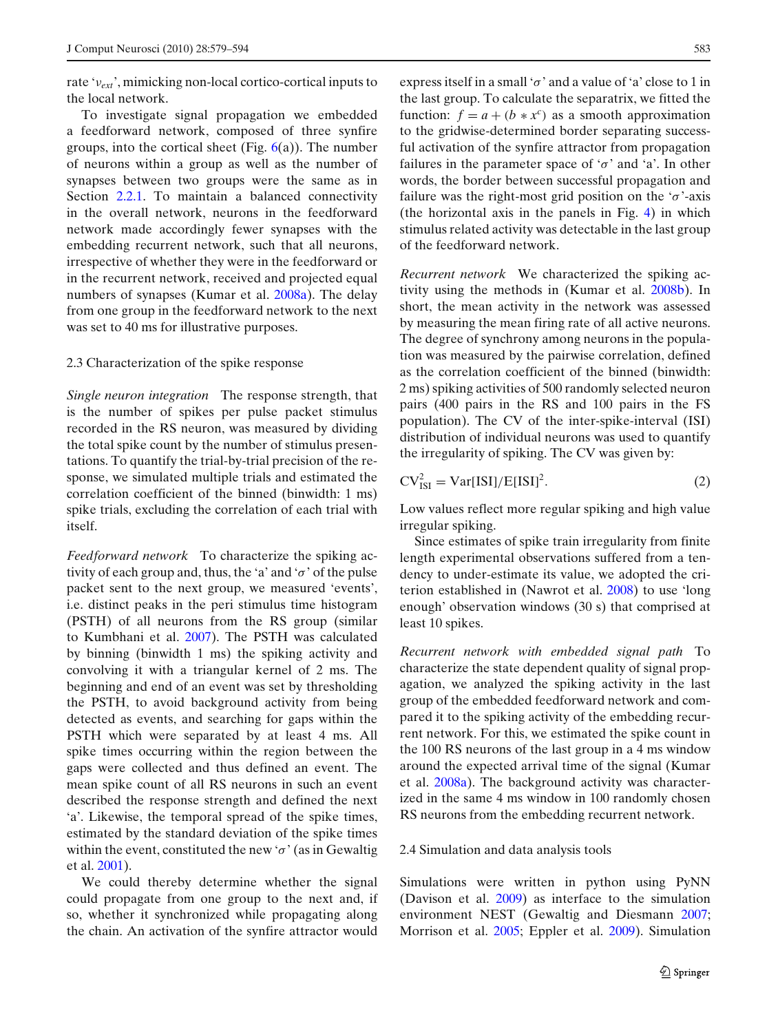rate 'ν*ext*', mimicking non-local cortico-cortical inputs to the local network.

To investigate signal propagation we embedded a feedforward network, composed of three synfire groups, into the cortical sheet (Fig.  $6(a)$  $6(a)$ ). The number of neurons within a group as well as the number of synapses between two groups were the same as in Section [2.2.1.](#page-2-0) To maintain a balanced connectivity in the overall network, neurons in the feedforward network made accordingly fewer synapses with the embedding recurrent network, such that all neurons, irrespective of whether they were in the feedforward or in the recurrent network, received and projected equal numbers of synapses (Kumar et al[.](#page-14-0) [2008a](#page-14-0)). The delay from one group in the feedforward network to the next was set to 40 ms for illustrative purposes.

#### 2.3 Characterization of the spike response

*Single neuron integration* The response strength, that is the number of spikes per pulse packet stimulus recorded in the RS neuron, was measured by dividing the total spike count by the number of stimulus presentations. To quantify the trial-by-trial precision of the response, we simulated multiple trials and estimated the correlation coefficient of the binned (binwidth: 1 ms) spike trials, excluding the correlation of each trial with itself.

*Feedforward network* To characterize the spiking activity of each group and, thus, the 'a' and ' $\sigma$ ' of the pulse packet sent to the next group, we measured 'events', i.e. distinct peaks in the peri stimulus time histogram (PSTH) of all neurons from the RS group (similar to Kumbhani et al. [2007\)](#page-14-0). The PSTH was calculated by binning (binwidth 1 ms) the spiking activity and convolving it with a triangular kernel of 2 ms. The beginning and end of an event was set by thresholding the PSTH, to avoid background activity from being detected as events, and searching for gaps within the PSTH which were separated by at least 4 ms. All spike times occurring within the region between the gaps were collected and thus defined an event. The mean spike count of all RS neurons in such an event described the response strength and defined the next 'a'. Likewise, the temporal spread of the spike times, estimated by the standard deviation of the spike times within the event, constituted the new ' $\sigma$ ' (as in Gewaltig et al[.](#page-13-0) [2001\)](#page-13-0).

We could thereby determine whether the signal could propagate from one group to the next and, if so, whether it synchronized while propagating along the chain. An activation of the synfire attractor would express itself in a small ' $\sigma$ ' and a value of 'a' close to 1 in the last group. To calculate the separatrix, we fitted the function:  $f = a + (b * x^c)$  as a smooth approximation to the gridwise-determined border separating successful activation of the synfire attractor from propagation failures in the parameter space of ' $\sigma$ ' and 'a'. In other words, the border between successful propagation and failure was the right-most grid position on the ' $\sigma$ '-axis (the horizontal axis in the panels in Fig. [4\)](#page-9-0) in which stimulus related activity was detectable in the last group of the feedforward network.

*Recurrent network* We characterized the spiking activity using the methods in (Kumar et al[.](#page-14-0) [2008b](#page-14-0)). In short, the mean activity in the network was assessed by measuring the mean firing rate of all active neurons. The degree of synchrony among neurons in the population was measured by the pairwise correlation, defined as the correlation coefficient of the binned (binwidth: 2 ms) spiking activities of 500 randomly selected neuron pairs (400 pairs in the RS and 100 pairs in the FS population). The CV of the inter-spike-interval (ISI) distribution of individual neurons was used to quantify the irregularity of spiking. The CV was given by:

$$
CV_{ISI}^{2} = Var[ISI]/E[ISI]^{2}.
$$
 (2)

Low values reflect more regular spiking and high value irregular spiking.

Since estimates of spike train irregularity from finite length experimental observations suffered from a tendency to under-estimate its value, we adopted the criterion established in (Nawrot et al[.](#page-14-0) [2008](#page-14-0)) to use 'long enough' observation windows (30 s) that comprised at least 10 spikes.

*Recurrent network with embedded signal path* To characterize the state dependent quality of signal propagation, we analyzed the spiking activity in the last group of the embedded feedforward network and compared it to the spiking activity of the embedding recurrent network. For this, we estimated the spike count in the 100 RS neurons of the last group in a 4 ms window around the expected arrival time of the signal (Kumar et al[.](#page-14-0) [2008a\)](#page-14-0). The background activity was characterized in the same 4 ms window in 100 randomly chosen RS neurons from the embedding recurrent network.

#### 2.4 Simulation and data analysis tools

Simulations were written in python using PyNN (Davison et al[.](#page-13-0) [2009\)](#page-13-0) as interface to the simulation environment NEST (Gewaltig and Diesman[n](#page-13-0) [2007;](#page-13-0) Morrison et al[.](#page-14-0) [2005](#page-14-0); Eppler et al[.](#page-13-0) [2009](#page-13-0)). Simulation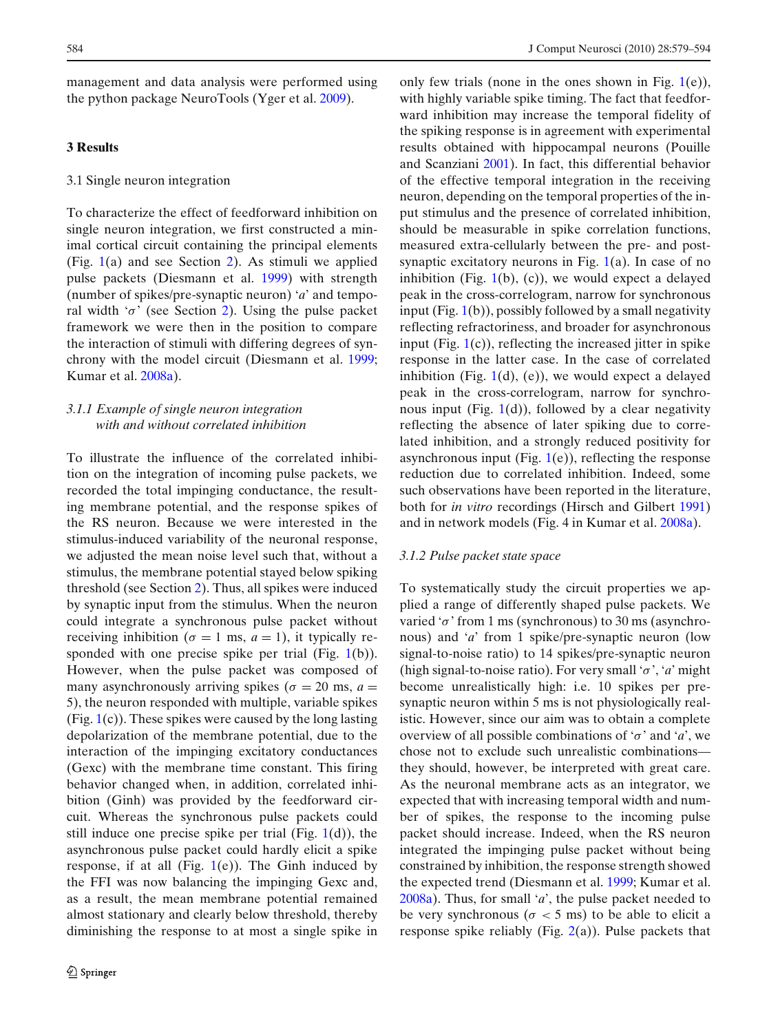management and data analysis were performed using the python package NeuroTools (Yger et al[.](#page-15-0) [2009\)](#page-15-0).

# **3 Results**

#### 3.1 Single neuron integration

To characterize the effect of feedforward inhibition on single neuron integration, we first constructed a minimal cortical circuit containing the principal elements (Fig.  $1(a)$  $1(a)$  and see Section [2\)](#page-2-0). As stimuli we applied pulse packets (Diesmann et al[.](#page-13-0) [1999](#page-13-0)) with strength (number of spikes/pre-synaptic neuron) '*a*' and temporal width ' $\sigma$ ' (see Section [2\)](#page-2-0). Using the pulse packet framework we were then in the position to compare the interaction of stimuli with differing degrees of synchrony with the model circuit (Diesmann et al[.](#page-13-0) [1999;](#page-13-0) Kumar et al[.](#page-14-0) [2008a\)](#page-14-0).

# *3.1.1 Example of single neuron integration with and without correlated inhibition*

<span id="page-5-0"></span>To illustrate the influence of the correlated inhibition on the integration of incoming pulse packets, we recorded the total impinging conductance, the resulting membrane potential, and the response spikes of the RS neuron. Because we were interested in the stimulus-induced variability of the neuronal response, we adjusted the mean noise level such that, without a stimulus, the membrane potential stayed below spiking threshold (see Section [2\)](#page-2-0). Thus, all spikes were induced by synaptic input from the stimulus. When the neuron could integrate a synchronous pulse packet without receiving inhibition ( $\sigma = 1$  ms,  $a = 1$ ), it typically responded with one precise spike per trial (Fig.  $1(b)$  $1(b)$ ). However, when the pulse packet was composed of many asynchronously arriving spikes ( $\sigma = 20$  ms,  $a =$ 5), the neuron responded with multiple, variable spikes (Fig.  $1(c)$  $1(c)$ ). These spikes were caused by the long lasting depolarization of the membrane potential, due to the interaction of the impinging excitatory conductances (Gexc) with the membrane time constant. This firing behavior changed when, in addition, correlated inhibition (Ginh) was provided by the feedforward circuit. Whereas the synchronous pulse packets could still induce one precise spike per trial (Fig.  $1(d)$  $1(d)$ ), the asynchronous pulse packet could hardly elicit a spike response, if at all (Fig.  $1(e)$  $1(e)$ ). The Ginh induced by the FFI was now balancing the impinging Gexc and, as a result, the mean membrane potential remained almost stationary and clearly below threshold, thereby diminishing the response to at most a single spike in only few trials (none in the ones shown in Fig.  $1(e)$  $1(e)$ ), with highly variable spike timing. The fact that feedforward inhibition may increase the temporal fidelity of the spiking response is in agreement with experimental results obtained with hippocampal neurons (Pouille and Scanzian[i](#page-14-0) [2001](#page-14-0)). In fact, this differential behavior of the effective temporal integration in the receiving neuron, depending on the temporal properties of the input stimulus and the presence of correlated inhibition, should be measurable in spike correlation functions, measured extra-cellularly between the pre- and postsynaptic excitatory neurons in Fig.  $1(a)$  $1(a)$ . In case of no inhibition (Fig.  $1(b)$  $1(b)$ , (c)), we would expect a delayed peak in the cross-correlogram, narrow for synchronous input (Fig.  $1(b)$  $1(b)$ ), possibly followed by a small negativity reflecting refractoriness, and broader for asynchronous input (Fig.  $1(c)$  $1(c)$ ), reflecting the increased jitter in spike response in the latter case. In the case of correlated inhibition (Fig.  $1(d)$  $1(d)$ , (e)), we would expect a delayed peak in the cross-correlogram, narrow for synchronous input (Fig.  $1(d)$  $1(d)$ ), followed by a clear negativity reflecting the absence of later spiking due to correlated inhibition, and a strongly reduced positivity for asynchronous input (Fig.  $1(e)$  $1(e)$ ), reflecting the response reduction due to correlated inhibition. Indeed, some such observations have been reported in the literature, both for *in vitro* recordings (Hirsch and Gilber[t](#page-14-0) [1991](#page-14-0)) and in network models (Fig. 4 in Kumar et al[.](#page-14-0) [2008a\)](#page-14-0).

# *3.1.2 Pulse packet state space*

To systematically study the circuit properties we applied a range of differently shaped pulse packets. We varied ' $\sigma$ ' from 1 ms (synchronous) to 30 ms (asynchronous) and '*a*' from 1 spike/pre-synaptic neuron (low signal-to-noise ratio) to 14 spikes/pre-synaptic neuron (high signal-to-noise ratio). For very small 'σ', '*a*' might become unrealistically high: i.e. 10 spikes per presynaptic neuron within 5 ms is not physiologically realistic. However, since our aim was to obtain a complete overview of all possible combinations of ' $\sigma$ ' and '*a*', we chose not to exclude such unrealistic combinations they should, however, be interpreted with great care. As the neuronal membrane acts as an integrator, we expected that with increasing temporal width and number of spikes, the response to the incoming pulse packet should increase. Indeed, when the RS neuron integrated the impinging pulse packet without being constrained by inhibition, the response strength showed the expected trend (Diesmann et al[.](#page-13-0) [1999;](#page-13-0) Kumar et al[.](#page-14-0) [2008a](#page-14-0)). Thus, for small '*a*', the pulse packet needed to be very synchronous ( $\sigma$  < 5 ms) to be able to elicit a response spike reliably (Fig.  $2(a)$  $2(a)$ ). Pulse packets that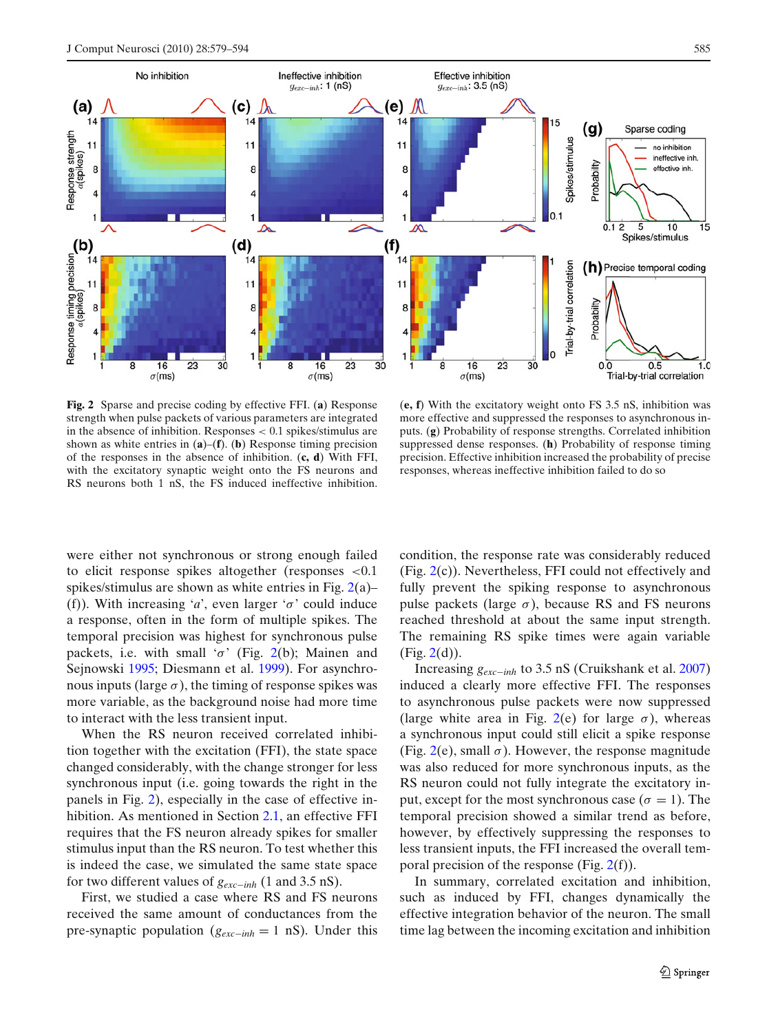

**Fig. 2** Sparse and precise coding by effective FFI. (**a**) Response strength when pulse packets of various parameters are integrated in the absence of inhibition. Responses < 0.1 spikes/stimulus are shown as white entries in (**a**)–(**f**). (**b**) Response timing precision of the responses in the absence of inhibition. (**c, d**) With FFI, with the excitatory synaptic weight onto the FS neurons and RS neurons both 1 nS, the FS induced ineffective inhibition.

(**e, f**) With the excitatory weight onto FS 3.5 nS, inhibition was more effective and suppressed the responses to asynchronous inputs. (**g**) Probability of response strengths. Correlated inhibition suppressed dense responses. (**h**) Probability of response timing precision. Effective inhibition increased the probability of precise responses, whereas ineffective inhibition failed to do so

were either not synchronous or strong enough failed to elicit response spikes altogether (responses <0.1 spikes/stimulus are shown as white entries in Fig.  $2(a)$  $2(a)$ – (f)). With increasing '*a*', even larger ' $\sigma$ ' could induce a response, often in the form of multiple spikes. The temporal precision was highest for synchronous pulse packets, i.e. with small ' $\sigma$ ' (Fig. [2\(](#page-6-0)b); Mainen and Sejnowski [1995](#page-14-0); Diesmann et al. [1999\)](#page-13-0). For asynchronous inputs (large  $\sigma$ ), the timing of response spikes was more variable, as the background noise had more time to interact with the less transient input.

When the RS neuron received correlated inhibition together with the excitation (FFI), the state space changed considerably, with the change stronger for less synchronous input (i.e. going towards the right in the panels in Fig. [2\)](#page-6-0), especially in the case of effective inhibition. As mentioned in Section [2.1,](#page-2-0) an effective FFI requires that the FS neuron already spikes for smaller stimulus input than the RS neuron. To test whether this is indeed the case, we simulated the same state space for two different values of *gexc*−*inh* (1 and 3.5 nS).

<span id="page-6-0"></span>First, we studied a case where RS and FS neurons received the same amount of conductances from the pre-synaptic population (*gexc*−*inh* = 1 nS). Under this condition, the response rate was considerably reduced (Fig. [2\(](#page-6-0)c)). Nevertheless, FFI could not effectively and fully prevent the spiking response to asynchronous pulse packets (large  $\sigma$ ), because RS and FS neurons reached threshold at about the same input strength. The remaining RS spike times were again variable  $(Fig. 2(d)).$  $(Fig. 2(d)).$  $(Fig. 2(d)).$ 

Increasing *gexc*−*inh* to 3.5 nS (Cruikshank et al[.](#page-13-0) [2007](#page-13-0)) induced a clearly more effective FFI. The responses to asynchronous pulse packets were now suppressed (large white area in Fig. [2\(](#page-6-0)e) for large  $\sigma$ ), whereas a synchronous input could still elicit a spike response (Fig. [2\(](#page-6-0)e), small  $\sigma$ ). However, the response magnitude was also reduced for more synchronous inputs, as the RS neuron could not fully integrate the excitatory input, except for the most synchronous case ( $\sigma = 1$ ). The temporal precision showed a similar trend as before, however, by effectively suppressing the responses to less transient inputs, the FFI increased the overall temporal precision of the response (Fig.  $2(f)$  $2(f)$ ).

In summary, correlated excitation and inhibition, such as induced by FFI, changes dynamically the effective integration behavior of the neuron. The small time lag between the incoming excitation and inhibition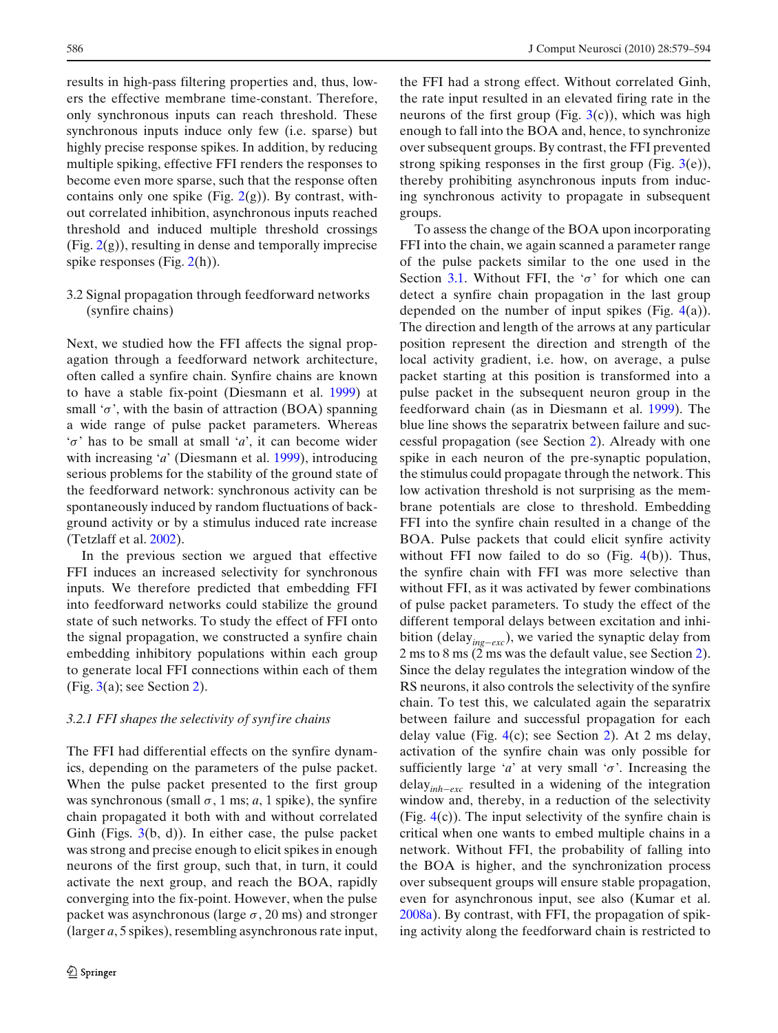results in high-pass filtering properties and, thus, lowers the effective membrane time-constant. Therefore, only synchronous inputs can reach threshold. These synchronous inputs induce only few (i.e. sparse) but highly precise response spikes. In addition, by reducing multiple spiking, effective FFI renders the responses to become even more sparse, such that the response often contains only one spike (Fig.  $2(g)$  $2(g)$ ). By contrast, without correlated inhibition, asynchronous inputs reached threshold and induced multiple threshold crossings (Fig.  $2(g)$  $2(g)$ ), resulting in dense and temporally imprecise spike responses (Fig.  $2(h)$  $2(h)$ ).

# 3.2 Signal propagation through feedforward networks (synfire chains)

Next, we studied how the FFI affects the signal propagation through a feedforward network architecture, often called a synfire chain. Synfire chains are known to have a stable fix-point (Diesmann et al[.](#page-13-0) [1999](#page-13-0)) at small ' $\sigma$ ', with the basin of attraction (BOA) spanning a wide range of pulse packet parameters. Whereas 'σ' has to be small at small '*a*', it can become wider with increasing '*a*' (Diesmann et al[.](#page-13-0) [1999\)](#page-13-0), introducing serious problems for the stability of the ground state of the feedforward network: synchronous activity can be spontaneously induced by random fluctuations of background activity or by a stimulus induced rate increase (Tetzlaff et al[.](#page-15-0) [2002\)](#page-15-0).

In the previous section we argued that effective FFI induces an increased selectivity for synchronous inputs. We therefore predicted that embedding FFI into feedforward networks could stabilize the ground state of such networks. To study the effect of FFI onto the signal propagation, we constructed a synfire chain embedding inhibitory populations within each group to generate local FFI connections within each of them (Fig.  $3(a)$  $3(a)$ ; see Section [2\)](#page-2-0).

# *3.2.1 FFI shapes the selectivity of synfire chains*

The FFI had differential effects on the synfire dynamics, depending on the parameters of the pulse packet. When the pulse packet presented to the first group was synchronous (small  $\sigma$ , 1 ms; *a*, 1 spike), the synfire chain propagated it both with and without correlated Ginh (Figs.  $3(b, d)$  $3(b, d)$ ). In either case, the pulse packet was strong and precise enough to elicit spikes in enough neurons of the first group, such that, in turn, it could activate the next group, and reach the BOA, rapidly converging into the fix-point. However, when the pulse packet was asynchronous (large  $\sigma$ , 20 ms) and stronger (larger *a*, 5 spikes), resembling asynchronous rate input,

the FFI had a strong effect. Without correlated Ginh, the rate input resulted in an elevated firing rate in the neurons of the first group (Fig.  $3(c)$  $3(c)$ ), which was high enough to fall into the BOA and, hence, to synchronize over subsequent groups. By contrast, the FFI prevented strong spiking responses in the first group (Fig.  $3(e)$  $3(e)$ ), thereby prohibiting asynchronous inputs from inducing synchronous activity to propagate in subsequent groups.

To assess the change of the BOA upon incorporating FFI into the chain, we again scanned a parameter range of the pulse packets similar to the one used in the Section [3.1.](#page-5-0) Without FFI, the ' $\sigma$ ' for which one can detect a synfire chain propagation in the last group depended on the number of input spikes (Fig.  $4(a)$  $4(a)$ ). The direction and length of the arrows at any particular position represent the direction and strength of the local activity gradient, i.e. how, on average, a pulse packet starting at this position is transformed into a pulse packet in the subsequent neuron group in the feedforward chain (as in Diesmann et al[.](#page-13-0) [1999](#page-13-0)). The blue line shows the separatrix between failure and successful propagation (see Section [2\)](#page-2-0). Already with one spike in each neuron of the pre-synaptic population, the stimulus could propagate through the network. This low activation threshold is not surprising as the membrane potentials are close to threshold. Embedding FFI into the synfire chain resulted in a change of the BOA. Pulse packets that could elicit synfire activity without FFI now failed to do so (Fig. [4\(](#page-9-0)b)). Thus, the synfire chain with FFI was more selective than without FFI, as it was activated by fewer combinations of pulse packet parameters. To study the effect of the different temporal delays between excitation and inhibition (delay*ing*−*exc*), we varied the synaptic delay from 2 ms to 8 ms (2 ms was the default value, see Section [2\)](#page-2-0). Since the delay regulates the integration window of the RS neurons, it also controls the selectivity of the synfire chain. To test this, we calculated again the separatrix between failure and successful propagation for each delay value (Fig.  $4(c)$  $4(c)$ ; see Section [2\)](#page-2-0). At 2 ms delay, activation of the synfire chain was only possible for sufficiently large '*a*' at very small 'σ'. Increasing the delay*inh*−*exc* resulted in a widening of the integration window and, thereby, in a reduction of the selectivity (Fig.  $4(c)$  $4(c)$ ). The input selectivity of the synfire chain is critical when one wants to embed multiple chains in a network. Without FFI, the probability of falling into the BOA is higher, and the synchronization process over subsequent groups will ensure stable propagation, even for asynchronous input, see also (Kumar et al[.](#page-14-0) [2008a](#page-14-0)). By contrast, with FFI, the propagation of spiking activity along the feedforward chain is restricted to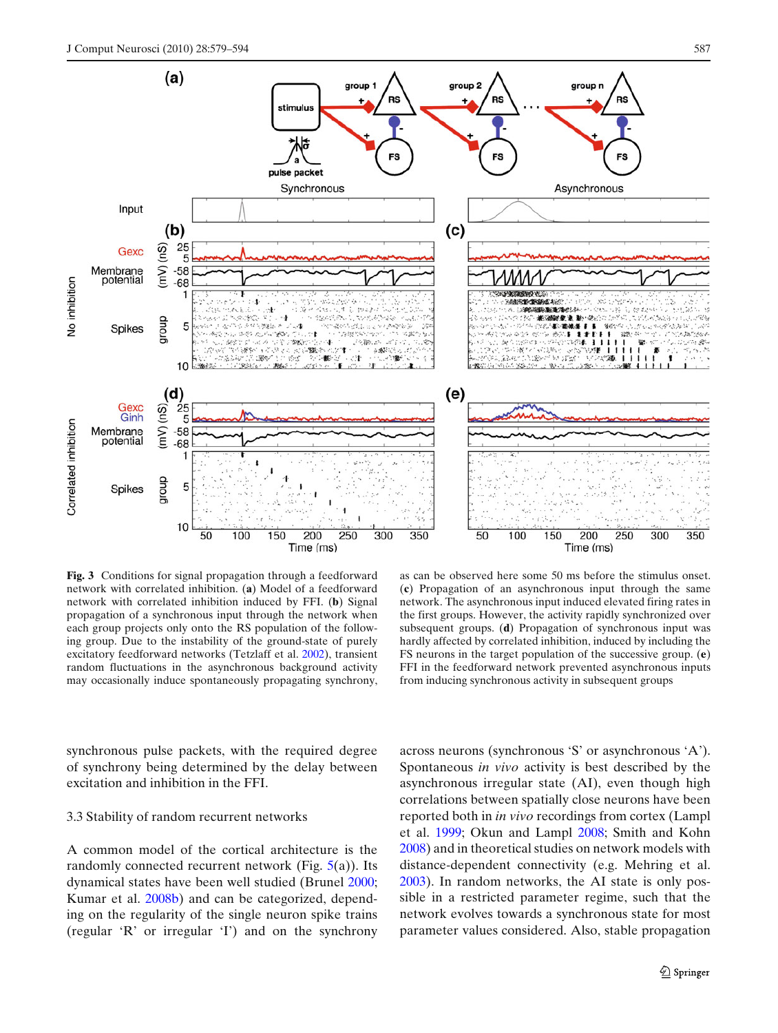

**Fig. 3** Conditions for signal propagation through a feedforward network with correlated inhibition. (**a**) Model of a feedforward network with correlated inhibition induced by FFI. (**b**) Signal propagation of a synchronous input through the network when each group projects only onto the RS population of the following group. Due to the instability of the ground-state of purely excitatory feedforward networks (Tetzlaff et al[.](#page-15-0) [2002](#page-15-0)), transient random fluctuations in the asynchronous background activity may occasionally induce spontaneously propagating synchrony,

as can be observed here some 50 ms before the stimulus onset. (**c**) Propagation of an asynchronous input through the same network. The asynchronous input induced elevated firing rates in the first groups. However, the activity rapidly synchronized over subsequent groups. (**d**) Propagation of synchronous input was hardly affected by correlated inhibition, induced by including the FS neurons in the target population of the successive group. (**e**) FFI in the feedforward network prevented asynchronous inputs from inducing synchronous activity in subsequent groups

synchronous pulse packets, with the required degree of synchrony being determined by the delay between excitation and inhibition in the FFI.

# 3.3 Stability of random recurrent networks

<span id="page-8-0"></span>A common model of the cortical architecture is the randomly connected recurrent network (Fig.  $5(a)$  $5(a)$ ). Its dynamical states have been well studied (Brune[l](#page-13-0) [2000;](#page-13-0) Kumar et al[.](#page-14-0) [2008b\)](#page-14-0) and can be categorized, depending on the regularity of the single neuron spike trains (regular 'R' or irregular 'I') and on the synchrony across neurons (synchronous 'S' or asynchronous 'A'). Spontaneous *in vivo* activity is best described by the asynchronous irregular state (AI), even though high correlations between spatially close neurons have been reported both in *in vivo* recordings from cortex (Lampl et al[.](#page-14-0) [1999](#page-14-0); Okun and Lamp[l](#page-14-0) [2008;](#page-14-0) Smith and Koh[n](#page-14-0) [2008](#page-14-0)) and in theoretical studies on network models with distance-dependent connectivity (e.g. Mehring et al[.](#page-14-0) [2003](#page-14-0)). In random networks, the AI state is only possible in a restricted parameter regime, such that the network evolves towards a synchronous state for most parameter values considered. Also, stable propagation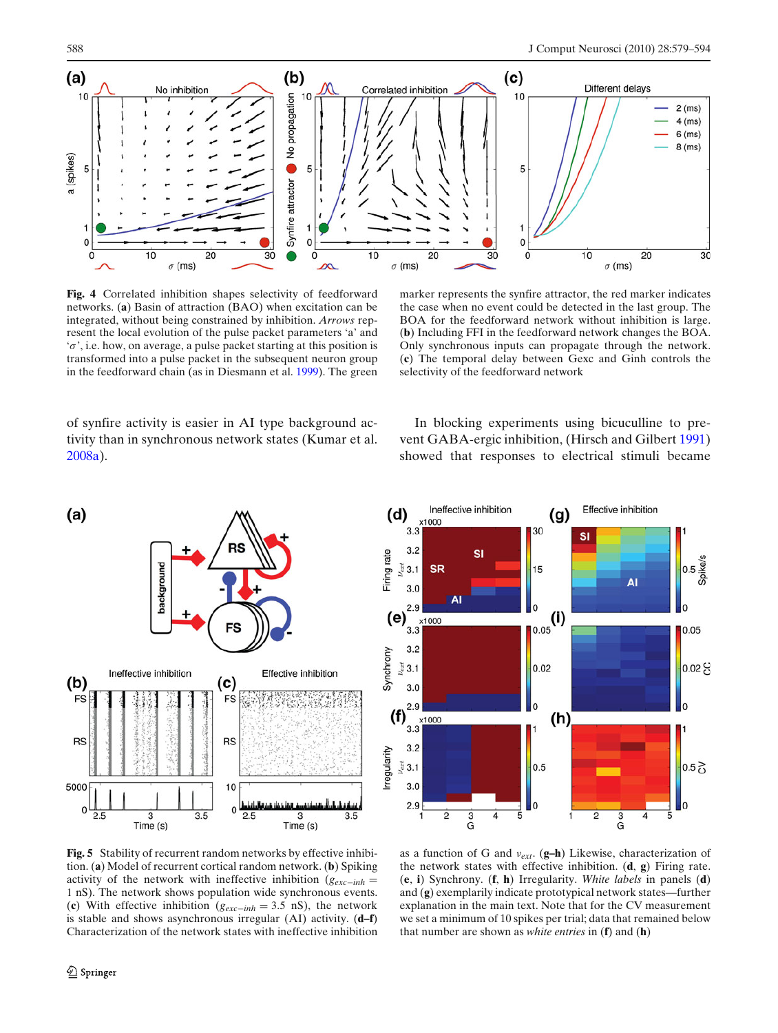

**Fig. 4** Correlated inhibition shapes selectivity of feedforward networks. (**a**) Basin of attraction (BAO) when excitation can be integrated, without being constrained by inhibition. *Arrows* represent the local evolution of the pulse packet parameters 'a' and 'σ', i.e. how, on average, a pulse packet starting at this position is transformed into a pulse packet in the subsequent neuron group in the feedforward chain (as in Diesmann et al[.](#page-13-0) [1999\)](#page-13-0). The green

marker represents the synfire attractor, the red marker indicates the case when no event could be detected in the last group. The BOA for the feedforward network without inhibition is large. (**b**) Including FFI in the feedforward network changes the BOA. Only synchronous inputs can propagate through the network. (**c**) The temporal delay between Gexc and Ginh controls the selectivity of the feedforward network

of synfire activity is easier in AI type background activity than in synchronous network states (Kumar et al[.](#page-14-0) [2008a](#page-14-0)).

In blocking experiments using bicuculline to prevent GABA-ergic inhibition, (Hirsch and Gilber[t](#page-14-0) [1991](#page-14-0)) showed that responses to electrical stimuli became





<span id="page-9-0"></span>**Fig. 5** Stability of recurrent random networks by effective inhibition. (**a**) Model of recurrent cortical random network. (**b**) Spiking activity of the network with ineffective inhibition (*gexc*−*inh* = 1 nS). The network shows population wide synchronous events. (**c**) With effective inhibition (*gexc*−*inh* = 3.5 nS), the network is stable and shows asynchronous irregular (AI) activity. (**d–f**) Characterization of the network states with ineffective inhibition

as a function of G and ν*ext*. (**g–h**) Likewise, characterization of the network states with effective inhibition. (**d**, **g**) Firing rate. (**e**, **i**) Synchrony. (**f**, **h**) Irregularity. *White labels* in panels (**d**) and (**g**) exemplarily indicate prototypical network states—further explanation in the main text. Note that for the CV measurement we set a minimum of 10 spikes per trial; data that remained below that number are shown as *white entries* in (**f**) and (**h**)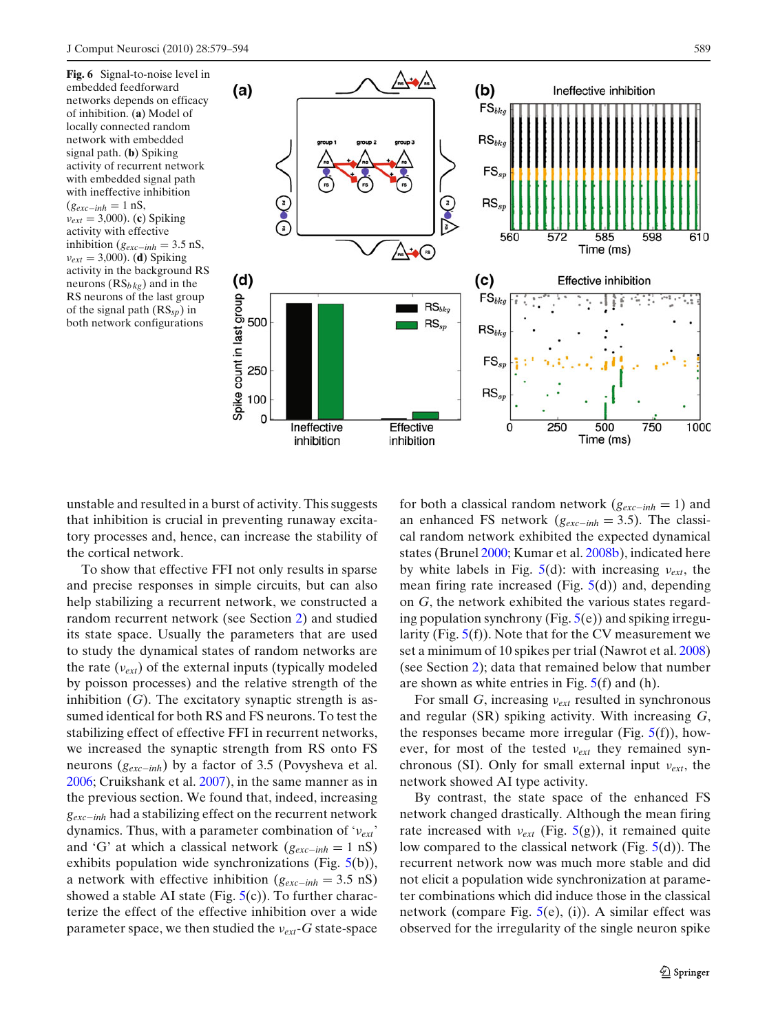**Fig. 6** Signal-to-noise level in embedded feedforward networks depends on efficacy of inhibition. (**a**) Model of locally connected random network with embedded signal path. (**b**) Spiking activity of recurrent network with embedded signal path with ineffective inhibition  $(g_{exc-inh} = 1 \text{ nS},$  $v_{ext} = 3,000$ . (**c**) Spiking activity with effective inhibition ( $g_{exc-inh}$  = 3.5 nS, ν*ext* = 3,000). (**d**) Spiking activity in the background RS neurons (RS*bkg*) and in the RS neurons of the last group of the signal path (RS*sp*) in both network configurations



unstable and resulted in a burst of activity. This suggests that inhibition is crucial in preventing runaway excitatory processes and, hence, can increase the stability of the cortical network.

To show that effective FFI not only results in sparse and precise responses in simple circuits, but can also help stabilizing a recurrent network, we constructed a random recurrent network (see Section [2\)](#page-2-0) and studied its state space. Usually the parameters that are used to study the dynamical states of random networks are the rate  $(v_{ext})$  of the external inputs (typically modeled by poisson processes) and the relative strength of the inhibition  $(G)$ . The excitatory synaptic strength is assumed identical for both RS and FS neurons. To test the stabilizing effect of effective FFI in recurrent networks, we increased the synaptic strength from RS onto FS neurons (*gexc*−*inh*) by a factor of 3.5 (Povysheva et al[.](#page-14-0) [2006](#page-14-0); Cruikshank et al[.](#page-13-0) [2007\)](#page-13-0), in the same manner as in the previous section. We found that, indeed, increasing *gexc*−*inh* had a stabilizing effect on the recurrent network dynamics. Thus, with a parameter combination of 'ν*ext*' and 'G' at which a classical network (*gexc*−*inh* = 1 nS) exhibits population wide synchronizations (Fig.  $5(b)$  $5(b)$ ), a network with effective inhibition (*gexc*−*inh* = 3.5 nS) showed a stable AI state (Fig.  $5(c)$  $5(c)$ ). To further characterize the effect of the effective inhibition over a wide parameter space, we then studied the ν*ext*-*G* state-space

for both a classical random network (*gexc*−*inh* = 1) and an enhanced FS network (*gexc*−*inh* = 3.5). The classical random network exhibited the expected dynamical states (Brune[l](#page-13-0) [2000;](#page-13-0) Kumar et al[.](#page-14-0) [2008b](#page-14-0)), indicated here by white labels in Fig. [5\(](#page-9-0)d): with increasing ν*ext*, the mean firing rate increased (Fig.  $5(d)$  $5(d)$ ) and, depending on *G*, the network exhibited the various states regarding population synchrony (Fig.  $5(e)$  $5(e)$ ) and spiking irregularity (Fig.  $5(f)$  $5(f)$ ). Note that for the CV measurement we set a minimum of 10 spikes per trial (Nawrot et al[.](#page-14-0) [2008](#page-14-0)) (see Section [2\)](#page-2-0); data that remained below that number are shown as white entries in Fig. [5\(](#page-9-0)f) and (h).

For small *G*, increasing ν*ext* resulted in synchronous and regular (SR) spiking activity. With increasing *G*, the responses became more irregular (Fig.  $5(f)$  $5(f)$ ), however, for most of the tested ν*ext* they remained synchronous (SI). Only for small external input ν*ext*, the network showed AI type activity.

<span id="page-10-0"></span>By contrast, the state space of the enhanced FS network changed drastically. Although the mean firing rate increased with ν*ext* (Fig. [5\(](#page-9-0)g)), it remained quite low compared to the classical network (Fig. [5\(](#page-9-0)d)). The recurrent network now was much more stable and did not elicit a population wide synchronization at parameter combinations which did induce those in the classical network (compare Fig.  $5(e)$  $5(e)$ , (i)). A similar effect was observed for the irregularity of the single neuron spike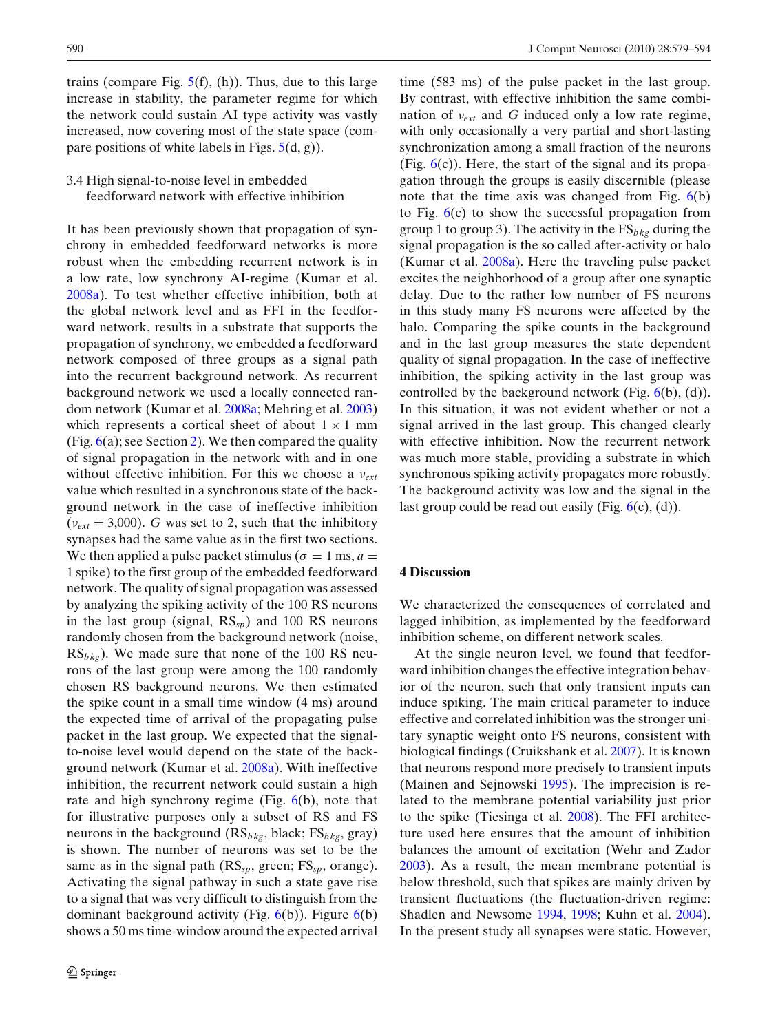trains (compare Fig.  $5(f)$  $5(f)$ , (h)). Thus, due to this large increase in stability, the parameter regime for which the network could sustain AI type activity was vastly increased, now covering most of the state space (compare positions of white labels in Figs.  $5(d, g)$  $5(d, g)$ ).

3.4 High signal-to-noise level in embedded feedforward network with effective inhibition

It has been previously shown that propagation of synchrony in embedded feedforward networks is more robust when the embedding recurrent network is in a low rate, low synchrony AI-regime (Kumar et al[.](#page-14-0) [2008a](#page-14-0)). To test whether effective inhibition, both at the global network level and as FFI in the feedforward network, results in a substrate that supports the propagation of synchrony, we embedded a feedforward network composed of three groups as a signal path into the recurrent background network. As recurrent background network we used a locally connected random network (Kumar et al[.](#page-14-0) [2008a](#page-14-0); Mehring et al[.](#page-14-0) [2003](#page-14-0)) which represents a cortical sheet of about  $1 \times 1$  mm (Fig.  $6(a)$  $6(a)$ ; see Section [2\)](#page-2-0). We then compared the quality of signal propagation in the network with and in one without effective inhibition. For this we choose a ν*ext* value which resulted in a synchronous state of the background network in the case of ineffective inhibition  $(v_{ext} = 3,000)$ . *G* was set to 2, such that the inhibitory synapses had the same value as in the first two sections. We then applied a pulse packet stimulus ( $\sigma = 1$  ms,  $a =$ 1 spike) to the first group of the embedded feedforward network. The quality of signal propagation was assessed by analyzing the spiking activity of the 100 RS neurons in the last group (signal, RS*sp*) and 100 RS neurons randomly chosen from the background network (noise,  $RS<sub>bkg</sub>$ ). We made sure that none of the 100 RS neurons of the last group were among the 100 randomly chosen RS background neurons. We then estimated the spike count in a small time window (4 ms) around the expected time of arrival of the propagating pulse packet in the last group. We expected that the signalto-noise level would depend on the state of the background network (Kumar et al[.](#page-14-0) [2008a](#page-14-0)). With ineffective inhibition, the recurrent network could sustain a high rate and high synchrony regime (Fig.  $6(b)$  $6(b)$ , note that for illustrative purposes only a subset of RS and FS neurons in the background (RS*bkg*, black; FS*bkg*, gray) is shown. The number of neurons was set to be the same as in the signal path (RS*sp*, green; FS*sp*, orange). Activating the signal pathway in such a state gave rise to a signal that was very difficult to distinguish from the dominant background activity (Fig.  $6(b)$  $6(b)$ ). Figure  $6(b)$ shows a 50 ms time-window around the expected arrival

time (583 ms) of the pulse packet in the last group. By contrast, with effective inhibition the same combination of ν*ext* and *G* induced only a low rate regime, with only occasionally a very partial and short-lasting synchronization among a small fraction of the neurons (Fig.  $6(c)$  $6(c)$ ). Here, the start of the signal and its propagation through the groups is easily discernible (please note that the time axis was changed from Fig. [6\(](#page-10-0)b) to Fig. [6\(](#page-10-0)c) to show the successful propagation from group 1 to group 3). The activity in the  $FS_{bkg}$  during the signal propagation is the so called after-activity or halo (Kumar et al[.](#page-14-0) [2008a\)](#page-14-0). Here the traveling pulse packet excites the neighborhood of a group after one synaptic delay. Due to the rather low number of FS neurons in this study many FS neurons were affected by the halo. Comparing the spike counts in the background and in the last group measures the state dependent quality of signal propagation. In the case of ineffective inhibition, the spiking activity in the last group was controlled by the background network (Fig.  $6(b)$  $6(b)$ , (d)). In this situation, it was not evident whether or not a signal arrived in the last group. This changed clearly with effective inhibition. Now the recurrent network was much more stable, providing a substrate in which synchronous spiking activity propagates more robustly. The background activity was low and the signal in the last group could be read out easily (Fig.  $6(c)$  $6(c)$ , (d)).

#### **4 Discussion**

We characterized the consequences of correlated and lagged inhibition, as implemented by the feedforward inhibition scheme, on different network scales.

At the single neuron level, we found that feedforward inhibition changes the effective integration behavior of the neuron, such that only transient inputs can induce spiking. The main critical parameter to induce effective and correlated inhibition was the stronger unitary synaptic weight onto FS neurons, consistent with biological findings (Cruikshank et al[.](#page-13-0) [2007\)](#page-13-0). It is known that neurons respond more precisely to transient inputs (Mainen and Sejnowsk[i](#page-14-0) [1995](#page-14-0)). The imprecision is related to the membrane potential variability just prior to the spike (Tiesinga et al[.](#page-15-0) [2008\)](#page-15-0). The FFI architecture used here ensures that the amount of inhibition balances the amount of excitation (Wehr and Zado[r](#page-15-0) [2003](#page-15-0)). As a result, the mean membrane potential is below threshold, such that spikes are mainly driven by transient fluctuations (the fluctuation-driven regime: Shadlen and Newsom[e](#page-14-0) [1994](#page-14-0), [1998](#page-14-0); Kuhn et al[.](#page-14-0) [2004\)](#page-14-0). In the present study all synapses were static. However,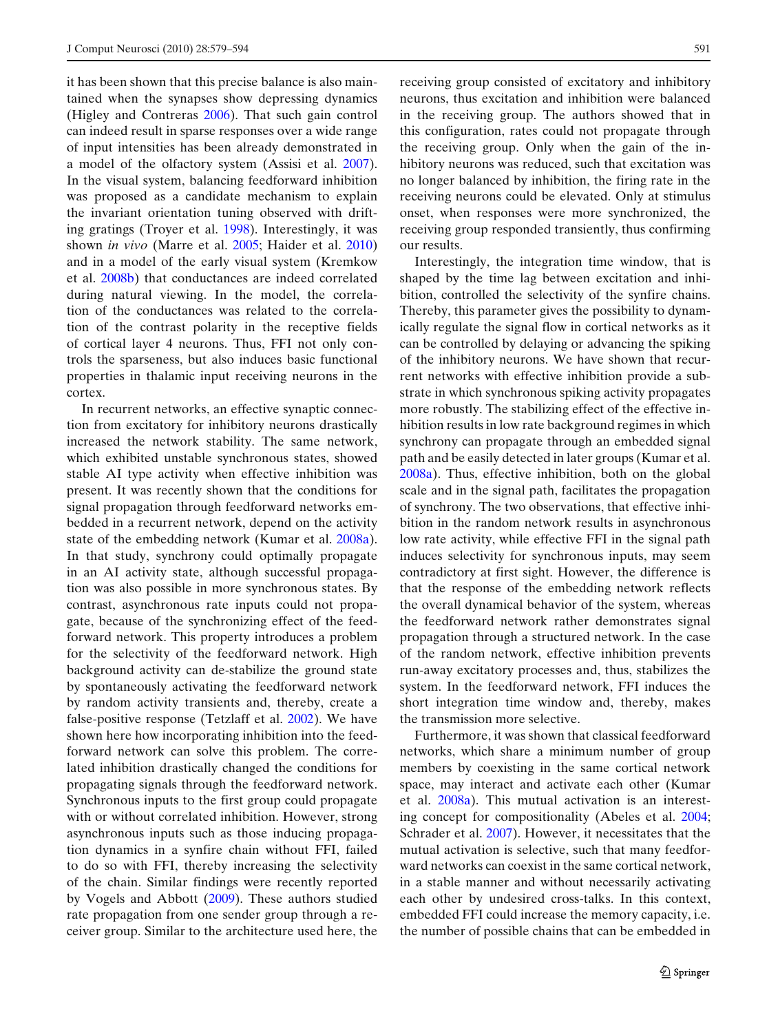it has been shown that this precise balance is also maintained when the synapses show depressing dynamics (Higley and Contrera[s](#page-14-0) [2006](#page-14-0)). That such gain control can indeed result in sparse responses over a wide range of input intensities has been already demonstrated in a model of the olfactory system (Assisi et al[.](#page-13-0) [2007\)](#page-13-0). In the visual system, balancing feedforward inhibition was proposed as a candidate mechanism to explain the invariant orientation tuning observed with drifting gratings (Troyer et al[.](#page-15-0) [1998](#page-15-0)). Interestingly, it was shown *in vivo* (Marre et al[.](#page-14-0) [2005](#page-14-0); Haider et al[.](#page-13-0) [2010](#page-13-0)) and in a model of the early visual system (Kremkow et al[.](#page-14-0) [2008b\)](#page-14-0) that conductances are indeed correlated during natural viewing. In the model, the correlation of the conductances was related to the correlation of the contrast polarity in the receptive fields of cortical layer 4 neurons. Thus, FFI not only controls the sparseness, but also induces basic functional properties in thalamic input receiving neurons in the cortex.

In recurrent networks, an effective synaptic connection from excitatory for inhibitory neurons drastically increased the network stability. The same network, which exhibited unstable synchronous states, showed stable AI type activity when effective inhibition was present. It was recently shown that the conditions for signal propagation through feedforward networks embedded in a recurrent network, depend on the activity state of the embedding network (Kumar et al[.](#page-14-0) [2008a\)](#page-14-0). In that study, synchrony could optimally propagate in an AI activity state, although successful propagation was also possible in more synchronous states. By contrast, asynchronous rate inputs could not propagate, because of the synchronizing effect of the feedforward network. This property introduces a problem for the selectivity of the feedforward network. High background activity can de-stabilize the ground state by spontaneously activating the feedforward network by random activity transients and, thereby, create a false-positive response (Tetzlaff et al[.](#page-15-0) [2002](#page-15-0)). We have shown here how incorporating inhibition into the feedforward network can solve this problem. The correlated inhibition drastically changed the conditions for propagating signals through the feedforward network. Synchronous inputs to the first group could propagate with or without correlated inhibition. However, strong asynchronous inputs such as those inducing propagation dynamics in a synfire chain without FFI, failed to do so with FFI, thereby increasing the selectivity of the chain. Similar findings were recently reported by Vogels and Abbot[t](#page-15-0) [\(2009\)](#page-15-0). These authors studied rate propagation from one sender group through a receiver group. Similar to the architecture used here, the receiving group consisted of excitatory and inhibitory neurons, thus excitation and inhibition were balanced in the receiving group. The authors showed that in this configuration, rates could not propagate through the receiving group. Only when the gain of the inhibitory neurons was reduced, such that excitation was no longer balanced by inhibition, the firing rate in the receiving neurons could be elevated. Only at stimulus onset, when responses were more synchronized, the receiving group responded transiently, thus confirming our results.

Interestingly, the integration time window, that is shaped by the time lag between excitation and inhibition, controlled the selectivity of the synfire chains. Thereby, this parameter gives the possibility to dynamically regulate the signal flow in cortical networks as it can be controlled by delaying or advancing the spiking of the inhibitory neurons. We have shown that recurrent networks with effective inhibition provide a substrate in which synchronous spiking activity propagates more robustly. The stabilizing effect of the effective inhibition results in low rate background regimes in which synchrony can propagate through an embedded signal path and be easily detected in later groups (Kumar et al[.](#page-14-0) [2008a](#page-14-0)). Thus, effective inhibition, both on the global scale and in the signal path, facilitates the propagation of synchrony. The two observations, that effective inhibition in the random network results in asynchronous low rate activity, while effective FFI in the signal path induces selectivity for synchronous inputs, may seem contradictory at first sight. However, the difference is that the response of the embedding network reflects the overall dynamical behavior of the system, whereas the feedforward network rather demonstrates signal propagation through a structured network. In the case of the random network, effective inhibition prevents run-away excitatory processes and, thus, stabilizes the system. In the feedforward network, FFI induces the short integration time window and, thereby, makes the transmission more selective.

Furthermore, it was shown that classical feedforward networks, which share a minimum number of group members by coexisting in the same cortical network space, may interact and activate each other (Kumar et al[.](#page-14-0) [2008a](#page-14-0)). This mutual activation is an interesting concept for compositionality (Abeles et al[.](#page-13-0) [2004;](#page-13-0) Schrader et al[.](#page-14-0) [2007](#page-14-0)). However, it necessitates that the mutual activation is selective, such that many feedforward networks can coexist in the same cortical network, in a stable manner and without necessarily activating each other by undesired cross-talks. In this context, embedded FFI could increase the memory capacity, i.e. the number of possible chains that can be embedded in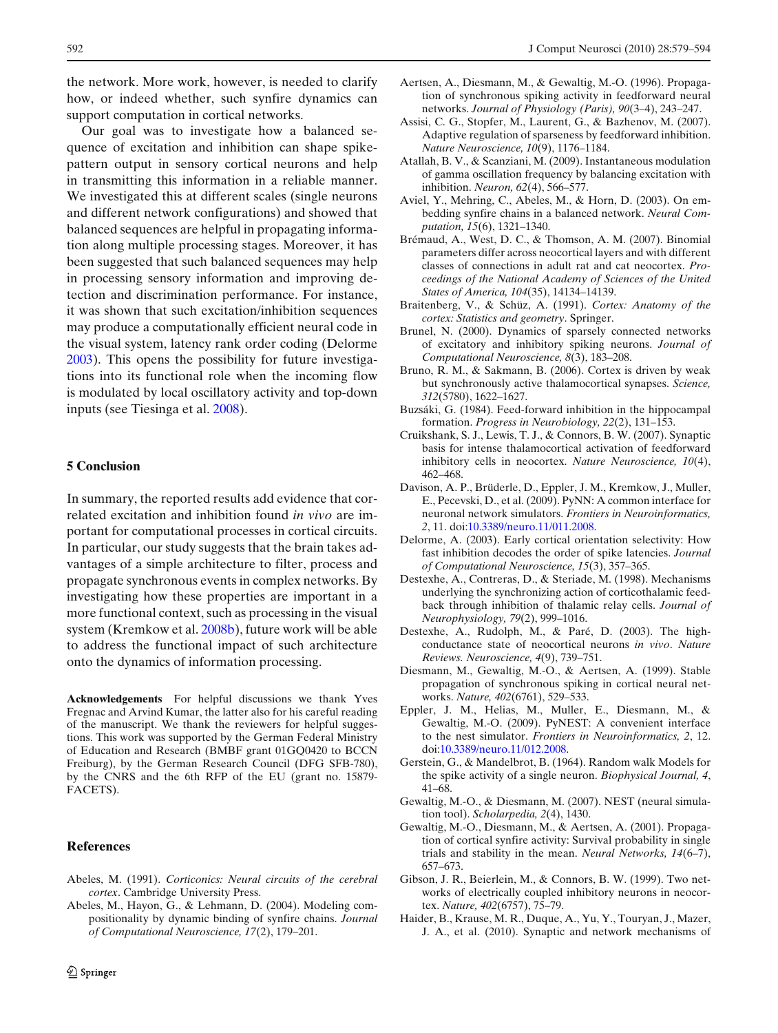the network. More work, however, is needed to clarify how, or indeed whether, such synfire dynamics can support computation in cortical networks.

Our goal was to investigate how a balanced sequence of excitation and inhibition can shape spikepattern output in sensory cortical neurons and help in transmitting this information in a reliable manner. We investigated this at different scales (single neurons and different network configurations) and showed that balanced sequences are helpful in propagating information along multiple processing stages. Moreover, it has been suggested that such balanced sequences may help in processing sensory information and improving detection and discrimination performance. For instance, it was shown that such excitation/inhibition sequences may produce a computationally efficient neural code in the visual system, latency rank order coding (Delorm[e](#page-13-0) [2003](#page-13-0)). This opens the possibility for future investigations into its functional role when the incoming flow is modulated by local oscillatory activity and top-down inputs (see Tiesinga et al[.](#page-15-0) [2008](#page-15-0)).

# **5 Conclusion**

In summary, the reported results add evidence that correlated excitation and inhibition found *in vivo* are important for computational processes in cortical circuits. In particular, our study suggests that the brain takes advantages of a simple architecture to filter, process and propagate synchronous events in complex networks. By investigating how these properties are important in a more functional context, such as processing in the visual system (Kremkow et al[.](#page-14-0) [2008b\)](#page-14-0), future work will be able to address the functional impact of such architecture onto the dynamics of information processing.

**Acknowledgements** For helpful discussions we thank Yves Fregnac and Arvind Kumar, the latter also for his careful reading of the manuscript. We thank the reviewers for helpful suggestions. This work was supported by the German Federal Ministry of Education and Research (BMBF grant 01GQ0420 to BCCN Freiburg), by the German Research Council (DFG SFB-780), by the CNRS and the 6th RFP of the EU (grant no. 15879- FACETS).

# **References**

- Abeles, M. (1991). *Corticonics: Neural circuits of the cerebral cortex*. Cambridge University Press.
- <span id="page-13-0"></span>Abeles, M., Hayon, G., & Lehmann, D. (2004). Modeling compositionality by dynamic binding of synfire chains. *Journal of Computational Neuroscience, 17*(2), 179–201.
- Aertsen, A., Diesmann, M., & Gewaltig, M.-O. (1996). Propagation of synchronous spiking activity in feedforward neural networks. *Journal of Physiology (Paris), 90*(3–4), 243–247.
- Assisi, C. G., Stopfer, M., Laurent, G., & Bazhenov, M. (2007). Adaptive regulation of sparseness by feedforward inhibition. *Nature Neuroscience, 10*(9), 1176–1184.
- Atallah, B. V., & Scanziani, M. (2009). Instantaneous modulation of gamma oscillation frequency by balancing excitation with inhibition. *Neuron, 62*(4), 566–577.
- Aviel, Y., Mehring, C., Abeles, M., & Horn, D. (2003). On embedding synfire chains in a balanced network. *Neural Computation, 15*(6), 1321–1340.
- Brémaud, A., West, D. C., & Thomson, A. M. (2007). Binomial parameters differ across neocortical layers and with different classes of connections in adult rat and cat neocortex. *Proceedings of the National Academy of Sciences of the United States of America, 104*(35), 14134–14139.
- Braitenberg, V., & Schüz, A. (1991). *Cortex: Anatomy of the cortex: Statistics and geometry*. Springer.
- Brunel, N. (2000). Dynamics of sparsely connected networks of excitatory and inhibitory spiking neurons. *Journal of Computational Neuroscience, 8*(3), 183–208.
- Bruno, R. M., & Sakmann, B. (2006). Cortex is driven by weak but synchronously active thalamocortical synapses. *Science, 312*(5780), 1622–1627.
- Buzsáki, G. (1984). Feed-forward inhibition in the hippocampal formation. *Progress in Neurobiology, 22*(2), 131–153.
- Cruikshank, S. J., Lewis, T. J., & Connors, B. W. (2007). Synaptic basis for intense thalamocortical activation of feedforward inhibitory cells in neocortex. *Nature Neuroscience, 10*(4), 462–468.
- Davison, A. P., Brüderle, D., Eppler, J. M., Kremkow, J., Muller, E., Pecevski, D., et al. (2009). PyNN: A common interface for neuronal network simulators. *Frontiers in Neuroinformatics, 2*, 11. doi[:10.3389/neuro.11/011.2008.](http://dx.doi.org/10.3389/neuro.11/011.2008)
- Delorme, A. (2003). Early cortical orientation selectivity: How fast inhibition decodes the order of spike latencies. *Journal of Computational Neuroscience, 15*(3), 357–365.
- Destexhe, A., Contreras, D., & Steriade, M. (1998). Mechanisms underlying the synchronizing action of corticothalamic feedback through inhibition of thalamic relay cells. *Journal of Neurophysiology, 79*(2), 999–1016.
- Destexhe, A., Rudolph, M., & Paré, D. (2003). The highconductance state of neocortical neurons *in vivo*. *Nature Reviews. Neuroscience, 4*(9), 739–751.
- Diesmann, M., Gewaltig, M.-O., & Aertsen, A. (1999). Stable propagation of synchronous spiking in cortical neural networks. *Nature, 402*(6761), 529–533.
- Eppler, J. M., Helias, M., Muller, E., Diesmann, M., & Gewaltig, M.-O. (2009). PyNEST: A convenient interface to the nest simulator. *Frontiers in Neuroinformatics, 2*, 12. doi[:10.3389/neuro.11/012.2008.](http://dx.doi.org/10.3389/neuro.11/012.2008)
- Gerstein, G., & Mandelbrot, B. (1964). Random walk Models for the spike activity of a single neuron. *Biophysical Journal, 4*, 41–68.
- Gewaltig, M.-O., & Diesmann, M. (2007). NEST (neural simulation tool). *Scholarpedia, 2*(4), 1430.
- Gewaltig, M.-O., Diesmann, M., & Aertsen, A. (2001). Propagation of cortical synfire activity: Survival probability in single trials and stability in the mean. *Neural Networks, 14*(6–7), 657–673.
- Gibson, J. R., Beierlein, M., & Connors, B. W. (1999). Two networks of electrically coupled inhibitory neurons in neocortex. *Nature, 402*(6757), 75–79.
- Haider, B., Krause, M. R., Duque, A., Yu, Y., Touryan, J., Mazer, J. A., et al. (2010). Synaptic and network mechanisms of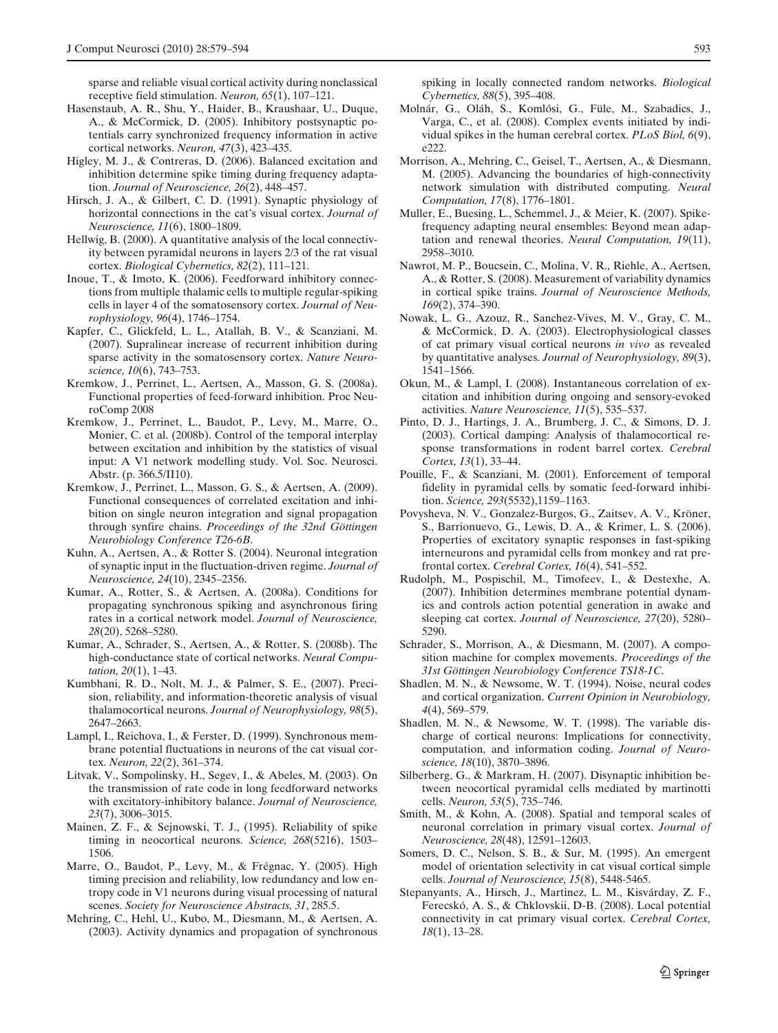sparse and reliable visual cortical activity during nonclassical receptive field stimulation. *Neuron, 65*(1), 107–121.

- Hasenstaub, A. R., Shu, Y., Haider, B., Kraushaar, U., Duque, A., & McCormick, D. (2005). Inhibitory postsynaptic potentials carry synchronized frequency information in active cortical networks. *Neuron, 47*(3), 423–435.
- Higley, M. J., & Contreras, D. (2006). Balanced excitation and inhibition determine spike timing during frequency adaptation. *Journal of Neuroscience, 26*(2), 448–457.
- Hirsch, J. A., & Gilbert, C. D. (1991). Synaptic physiology of horizontal connections in the cat's visual cortex. *Journal of Neuroscience, 11*(6), 1800–1809.
- Hellwig, B. (2000). A quantitative analysis of the local connectivity between pyramidal neurons in layers 2/3 of the rat visual cortex. *Biological Cybernetics, 82*(2), 111–121.
- Inoue, T., & Imoto, K. (2006). Feedforward inhibitory connections from multiple thalamic cells to multiple regular-spiking cells in layer 4 of the somatosensory cortex. *Journal of Neurophysiology, 96*(4), 1746–1754.
- Kapfer, C., Glickfeld, L. L., Atallah, B. V., & Scanziani, M. (2007). Supralinear increase of recurrent inhibition during sparse activity in the somatosensory cortex. *Nature Neuroscience, 10*(6), 743–753.
- Kremkow, J., Perrinet, L., Aertsen, A., Masson, G. S. (2008a). Functional properties of feed-forward inhibition. Proc NeuroComp 2008
- Kremkow, J., Perrinet, L., Baudot, P., Levy, M., Marre, O., Monier, C. et al. (2008b). Control of the temporal interplay between excitation and inhibition by the statistics of visual input: A V1 network modelling study. Vol. Soc. Neurosci. Abstr. (p. 366.5/II10).
- Kremkow, J., Perrinet, L., Masson, G. S., & Aertsen, A. (2009). Functional consequences of correlated excitation and inhibition on single neuron integration and signal propagation through synfire chains. *Proceedings of the 32nd Göttingen Neurobiology Conference T26-6B*.
- Kuhn, A., Aertsen, A., & Rotter S. (2004). Neuronal integration of synaptic input in the fluctuation-driven regime. *Journal of Neuroscience, 24*(10), 2345–2356.
- Kumar, A., Rotter, S., & Aertsen, A. (2008a). Conditions for propagating synchronous spiking and asynchronous firing rates in a cortical network model. *Journal of Neuroscience, 28*(20), 5268–5280.
- Kumar, A., Schrader, S., Aertsen, A., & Rotter, S. (2008b). The high-conductance state of cortical networks. *Neural Computation, 20*(1), 1–43.
- Kumbhani, R. D., Nolt, M. J., & Palmer, S. E., (2007). Precision, reliability, and information-theoretic analysis of visual thalamocortical neurons. *Journal of Neurophysiology, 98*(5), 2647–2663.
- Lampl, I., Reichova, I., & Ferster, D. (1999). Synchronous membrane potential fluctuations in neurons of the cat visual cortex. *Neuron, 22*(2), 361–374.
- Litvak, V., Sompolinsky, H., Segev, I., & Abeles, M. (2003). On the transmission of rate code in long feedforward networks with excitatory-inhibitory balance. *Journal of Neuroscience, 23*(7), 3006–3015.
- Mainen, Z. F., & Sejnowski, T. J., (1995). Reliability of spike timing in neocortical neurons. *Science, 268*(5216), 1503– 1506.
- Marre, O., Baudot, P., Levy, M., & Frégnac, Y. (2005). High timing precision and reliability, low redundancy and low entropy code in V1 neurons during visual processing of natural scenes. *Society for Neuroscience Abstracts, 31*, 285.5.
- <span id="page-14-0"></span>Mehring, C., Hehl, U., Kubo, M., Diesmann, M., & Aertsen, A. (2003). Activity dynamics and propagation of synchronous

spiking in locally connected random networks. *Biological Cybernetics, 88*(5), 395–408.

- Molnár, G., Oláh, S., Komlósi, G., Füle, M., Szabadics, J., Varga, C., et al. (2008). Complex events initiated by individual spikes in the human cerebral cortex. *PLoS Biol, 6*(9), e222.
- Morrison, A., Mehring, C., Geisel, T., Aertsen, A., & Diesmann, M. (2005). Advancing the boundaries of high-connectivity network simulation with distributed computing. *Neural Computation, 17*(8), 1776–1801.
- Muller, E., Buesing, L., Schemmel, J., & Meier, K. (2007). Spikefrequency adapting neural ensembles: Beyond mean adaptation and renewal theories. *Neural Computation, 19*(11), 2958–3010.
- Nawrot, M. P., Boucsein, C., Molina, V. R., Riehle, A., Aertsen, A., & Rotter, S. (2008). Measurement of variability dynamics in cortical spike trains. *Journal of Neuroscience Methods, 169*(2), 374–390.
- Nowak, L. G., Azouz, R., Sanchez-Vives, M. V., Gray, C. M., & McCormick, D. A. (2003). Electrophysiological classes of cat primary visual cortical neurons *in vivo* as revealed by quantitative analyses. *Journal of Neurophysiology, 89*(3), 1541–1566.
- Okun, M., & Lampl, I. (2008). Instantaneous correlation of excitation and inhibition during ongoing and sensory-evoked activities. *Nature Neuroscience, 11*(5), 535–537.
- Pinto, D. J., Hartings, J. A., Brumberg, J. C., & Simons, D. J. (2003). Cortical damping: Analysis of thalamocortical response transformations in rodent barrel cortex. *Cerebral Cortex, 13*(1), 33–44.
- Pouille, F., & Scanziani, M. (2001). Enforcement of temporal fidelity in pyramidal cells by somatic feed-forward inhibition. *Science, 293*(5532),1159–1163.
- Povysheva, N. V., Gonzalez-Burgos, G., Zaitsev, A. V., Kröner, S., Barrionuevo, G., Lewis, D. A., & Krimer, L. S. (2006). Properties of excitatory synaptic responses in fast-spiking interneurons and pyramidal cells from monkey and rat prefrontal cortex. *Cerebral Cortex, 16*(4), 541–552.
- Rudolph, M., Pospischil, M., Timofeev, I., & Destexhe, A. (2007). Inhibition determines membrane potential dynamics and controls action potential generation in awake and sleeping cat cortex. *Journal of Neuroscience, 27*(20), 5280– 5290.
- Schrader, S., Morrison, A., & Diesmann, M. (2007). A composition machine for complex movements. *Proceedings of the 31st Göttingen Neurobiology Conference TS18-1C*.
- Shadlen, M. N., & Newsome, W. T. (1994). Noise, neural codes and cortical organization. *Current Opinion in Neurobiology, 4*(4), 569–579.
- Shadlen, M. N., & Newsome, W. T. (1998). The variable discharge of cortical neurons: Implications for connectivity, computation, and information coding. *Journal of Neuroscience, 18*(10), 3870–3896.
- Silberberg, G., & Markram, H. (2007). Disynaptic inhibition between neocortical pyramidal cells mediated by martinotti cells. *Neuron, 53*(5), 735–746.
- Smith, M., & Kohn, A. (2008). Spatial and temporal scales of neuronal correlation in primary visual cortex. *Journal of Neuroscience, 28*(48), 12591–12603.
- Somers, D. C., Nelson, S. B., & Sur, M. (1995). An emergent model of orientation selectivity in cat visual cortical simple cells. *Journal of Neuroscience, 15*(8), 5448-5465.
- Stepanyants, A., Hirsch, J., Martinez, L. M., Kisvárday, Z. F., Ferecskó, A. S., & Chklovskii, D-B. (2008). Local potential connectivity in cat primary visual cortex. *Cerebral Cortex, 18*(1), 13–28.